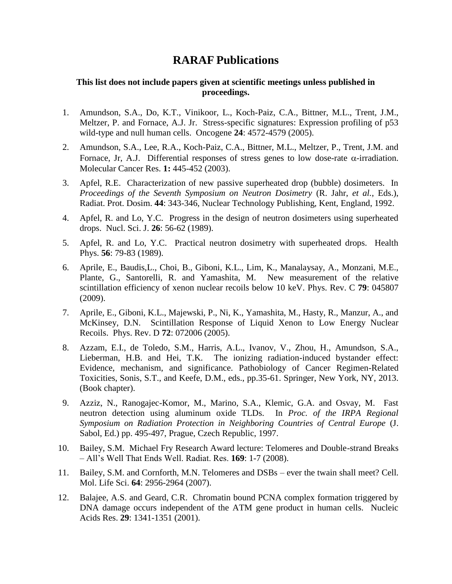## **RARAF Publications**

## **This list does not include papers given at scientific meetings unless published in proceedings.**

- 1. Amundson, S.A., Do, K.T., Vinikoor, L., Koch-Paiz, C.A., Bittner, M.L., Trent, J.M., Meltzer, P. and Fornace, A.J. Jr. Stress-specific signatures: Expression profiling of p53 wild-type and null human cells. Oncogene **24**: 4572-4579 (2005).
- 2. Amundson, S.A., Lee, R.A., Koch-Paiz, C.A., Bittner, M.L., Meltzer, P., Trent, J.M. and Fornace, Jr, A.J. Differential responses of stress genes to low dose-rate  $\alpha$ -irradiation. Molecular Cancer Res. **1:** 445-452 (2003).
- 3. Apfel, R.E. Characterization of new passive superheated drop (bubble) dosimeters. In *Proceedings of the Seventh Symposium on Neutron Dosimetry* (R. Jahr, *et al.*, Eds.), Radiat. Prot. Dosim. **44**: 343-346, Nuclear Technology Publishing, Kent, England, 1992.
- 4. Apfel, R. and Lo, Y.C. Progress in the design of neutron dosimeters using superheated drops. Nucl. Sci. J. **26**: 56-62 (1989).
- 5. Apfel, R. and Lo, Y.C. Practical neutron dosimetry with superheated drops. Health Phys. **56**: 79-83 (1989).
- 6. Aprile, E., Baudis,L., Choi, B., Giboni, K.L., Lim, K., Manalaysay, A., Monzani, M.E., Plante, G., Santorelli, R. and Yamashita, M. New measurement of the relative scintillation efficiency of xenon nuclear recoils below 10 keV. Phys. Rev. C **79**: 045807 (2009).
- 7. Aprile, E., Giboni, K.L., Majewski, P., Ni, K., Yamashita, M., Hasty, R., Manzur, A., and McKinsey, D.N. Scintillation Response of Liquid Xenon to Low Energy Nuclear Recoils. Phys. Rev. D **72**: 072006 (2005).
- 8. Azzam, E.I., de Toledo, S.M., Harris, A.L., Ivanov, V., Zhou, H., Amundson, S.A., Lieberman, H.B. and Hei, T.K. The ionizing radiation-induced bystander effect: Evidence, mechanism, and significance. Pathobiology of Cancer Regimen-Related Toxicities, Sonis, S.T., and Keefe, D.M., eds., pp.35-61. Springer, New York, NY, 2013. (Book chapter).
- 9. Azziz, N., Ranogajec-Komor, M., Marino, S.A., Klemic, G.A. and Osvay, M. Fast neutron detection using aluminum oxide TLDs. In *Proc. of the IRPA Regional Symposium on Radiation Protection in Neighboring Countries of Central Europe* (J. Sabol, Ed.) pp. 495-497, Prague, Czech Republic, 1997.
- 10. Bailey, S.M. Michael Fry Research Award lecture: Telomeres and Double-strand Breaks – All's Well That Ends Well. Radiat. Res. **169**: 1-7 (2008).
- 11. Bailey, S.M. and Cornforth, M.N. Telomeres and DSBs ever the twain shall meet? Cell. Mol. Life Sci. **64**: 2956-2964 (2007).
- 12. Balajee, A.S. and Geard, C.R. Chromatin bound PCNA complex formation triggered by DNA damage occurs independent of the ATM gene product in human cells. Nucleic Acids Res. **29**: 1341-1351 (2001).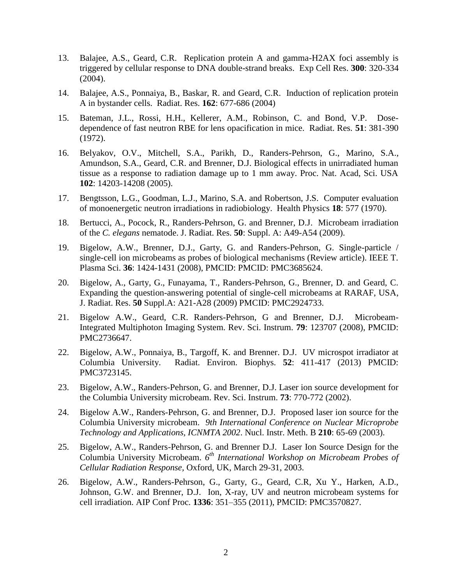- 13. [Balajee, A.S., Geard, C.R.](http://www.ncbi.nlm.nih.gov/entrez/query.fcgi?cmd=Retrieve&db=pubmed&dopt=Abstract&list_uids=15474997) Replication protein A and gamma-H2AX foci assembly is triggered by cellular response to DNA double-strand breaks. Exp Cell Res. **300**: 320-334 (2004).
- 14. Balajee, A.S., Ponnaiya, B., Baskar, R. and Geard, C.R. Induction of replication protein A in bystander cells. Radiat. Res. **162**: 677-686 (2004)
- 15. Bateman, J.L., Rossi, H.H., Kellerer, A.M., Robinson, C. and Bond, V.P. Dosedependence of fast neutron RBE for lens opacification in mice. Radiat. Res. **51**: 381-390 (1972).
- 16. Belyakov, O.V., Mitchell, S.A., Parikh, D., Randers-Pehrson, G., Marino, S.A., Amundson, S.A., Geard, C.R. and Brenner, D.J. Biological effects in unirradiated human tissue as a response to radiation damage up to 1 mm away. Proc. Nat. Acad, Sci. USA **102**: 14203-14208 (2005).
- 17. Bengtsson, L.G., Goodman, L.J., Marino, S.A. and Robertson, J.S. Computer evaluation of monoenergetic neutron irradiations in radiobiology. Health Physics **18**: 577 (1970).
- 18. Bertucci, A., Pocock, R., Randers-Pehrson, G. and Brenner, D.J. Microbeam irradiation of the *C. elegans* nematode. J. Radiat. Res. **50**: Suppl. A: A49-A54 (2009).
- 19. Bigelow, A.W., Brenner, D.J., Garty, G. and Randers-Pehrson, G. Single-particle / single-cell ion microbeams as probes of biological mechanisms (Review article). IEEE T. Plasma Sci. **36**: 1424-1431 (2008), PMCID: PMCID: PMC3685624.
- 20. Bigelow, A., Garty, G., Funayama, T., Randers-Pehrson, G., Brenner, D. and Geard, C. Expanding the question-answering potential of single-cell microbeams at RARAF, USA, J. Radiat. Res. **50** Suppl.A: A21-A28 (2009) PMCID: PMC2924733.
- 21. Bigelow A.W., Geard, C.R. Randers-Pehrson, G and Brenner, D.J. Microbeam-Integrated Multiphoton Imaging System. Rev. Sci. Instrum. **79**: 123707 (2008), PMCID: PMC2736647.
- 22. Bigelow, A.W., Ponnaiya, B., Targoff, K. and Brenner. D.J. UV microspot irradiator at Columbia University. Radiat. Environ. Biophys. **52**: 411-417 (2013) PMCID: PMC3723145.
- 23. Bigelow, A.W., Randers-Pehrson, G. and Brenner, D.J. Laser ion source development for the Columbia University microbeam. Rev. Sci. Instrum. **73**: 770-772 (2002).
- 24. Bigelow A.W., Randers-Pehrson, G. and Brenner, D.J. Proposed laser ion source for the Columbia University microbeam. *9th International Conference on Nuclear Microprobe Technology and Applications, ICNMTA 2002*. Nucl. Instr. Meth. B **210**: 65-69 (2003).
- 25. Bigelow, A.W., Randers-Pehrson, G. and Brenner D.J. Laser Ion Source Design for the Columbia University Microbeam. *6 th International Workshop on Microbeam Probes of Cellular Radiation Response,* Oxford, UK, March 29-31, 2003.
- 26. Bigelow, A.W., Randers-Pehrson, G., Garty, G., Geard, C.R, Xu Y., Harken, A.D., Johnson, G.W. and Brenner, D.J. Ion, X-ray, UV and neutron microbeam systems for cell irradiation. AIP Conf Proc. **1336**: 351–355 (2011), PMCID: PMC3570827.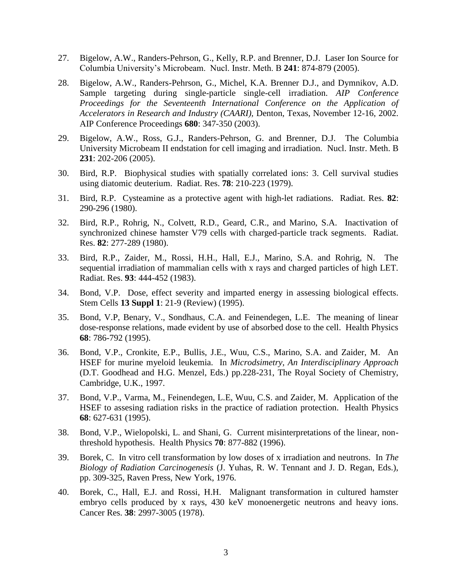- 27. Bigelow, A.W., Randers-Pehrson, G., Kelly, R.P. and Brenner, D.J. Laser Ion Source for Columbia University's Microbeam. Nucl. Instr. Meth. B **241**: 874-879 (2005).
- 28. Bigelow, A.W., Randers-Pehrson, G., Michel, K.A. Brenner D.J., and Dymnikov, A.D. Sample targeting during single-particle single-cell irradiation. *AIP Conference Proceedings for the Seventeenth International Conference on the Application of Accelerators in Research and Industry (CAARI),* Denton, Texas, November 12-16, 2002. AIP Conference Proceedings **680**: 347-350 (2003).
- 29. Bigelow, A.W., Ross, G.J., Randers-Pehrson, G. and Brenner, D.J. The Columbia University Microbeam II endstation for cell imaging and irradiation. Nucl. Instr. Meth. B **231**: 202-206 (2005).
- 30. Bird, R.P. Biophysical studies with spatially correlated ions: 3. Cell survival studies using diatomic deuterium. Radiat. Res. **78**: 210-223 (1979).
- 31. Bird, R.P. Cysteamine as a protective agent with high-let radiations. Radiat. Res. **82**: 290-296 (1980).
- 32. Bird, R.P., Rohrig, N., Colvett, R.D., Geard, C.R., and Marino, S.A. Inactivation of synchronized chinese hamster V79 cells with charged-particle track segments. Radiat. Res. **82**: 277-289 (1980).
- 33. Bird, R.P., Zaider, M., Rossi, H.H., Hall, E.J., Marino, S.A. and Rohrig, N. The sequential irradiation of mammalian cells with x rays and charged particles of high LET. Radiat. Res. **93**: 444-452 (1983).
- 34. Bond, V.P. Dose, effect severity and imparted energy in assessing biological effects. Stem Cells **13 Suppl 1**: 21-9 (Review) (1995).
- 35. Bond, V.P, Benary, V., Sondhaus, C.A. and Feinendegen, L.E. The meaning of linear dose-response relations, made evident by use of absorbed dose to the cell. Health Physics **68**: 786-792 (1995).
- 36. Bond, V.P., Cronkite, E.P., Bullis, J.E., Wuu, C.S., Marino, S.A. and Zaider, M. An HSEF for murine myeloid leukemia. In *Microdsimetry, An Interdisciplinary Approach* (D.T. Goodhead and H.G. Menzel, Eds.) pp.228-231, The Royal Society of Chemistry, Cambridge, U.K., 1997.
- 37. Bond, V.P., Varma, M., Feinendegen, L.E, Wuu, C.S. and Zaider, M. Application of the HSEF to assesing radiation risks in the practice of radiation protection. Health Physics **68**: 627-631 (1995).
- 38. Bond, V.P., Wielopolski, L. and Shani, G. Current misinterpretations of the linear, nonthreshold hypothesis. Health Physics **70**: 877-882 (1996).
- 39. Borek, C. In vitro cell transformation by low doses of x irradiation and neutrons. In *The Biology of Radiation Carcinogenesis* (J. Yuhas, R. W. Tennant and J. D. Regan, Eds.), pp. 309-325, Raven Press, New York, 1976.
- 40. Borek, C., Hall, E.J. and Rossi, H.H. Malignant transformation in cultured hamster embryo cells produced by x rays, 430 keV monoenergetic neutrons and heavy ions. Cancer Res. **38**: 2997-3005 (1978).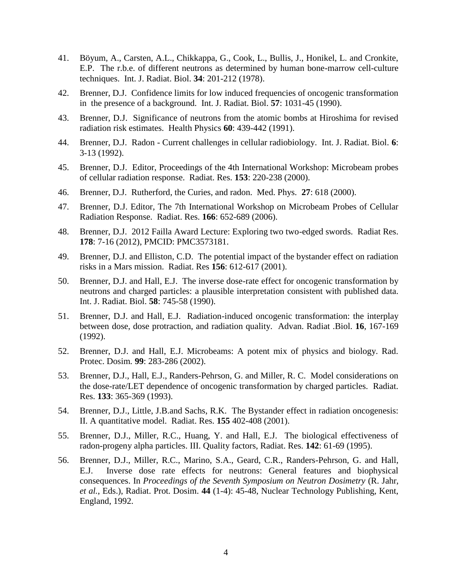- 41. Böyum, A., Carsten, A.L., Chikkappa, G., Cook, L., Bullis, J., Honikel, L. and Cronkite, E.P. The r.b.e. of different neutrons as determined by human bone-marrow cell-culture techniques. Int. J. Radiat. Biol. **34**: 201-212 (1978).
- 42. Brenner, D.J. Confidence limits for low induced frequencies of oncogenic transformation in the presence of a background. Int. J. Radiat. Biol. **57**: 1031-45 (1990).
- 43. Brenner, D.J. Significance of neutrons from the atomic bombs at Hiroshima for revised radiation risk estimates. Health Physics **60**: 439-442 (1991).
- 44. Brenner, D.J. Radon Current challenges in cellular radiobiology. Int. J. Radiat. Biol. **6**: 3-13 (1992).
- 45. Brenner, D.J. Editor, Proceedings of the 4th International Workshop: Microbeam probes of cellular radiation response. Radiat. Res. **153**: 220-238 (2000).
- 46. Brenner, D.J. Rutherford, the Curies, and radon. Med. Phys. **27**: 618 (2000).
- 47. Brenner, D.J. Editor, The 7th International Workshop on Microbeam Probes of Cellular Radiation Response. Radiat. Res. **166**: 652-689 (2006).
- 48. Brenner, D.J. 2012 Failla Award Lecture: Exploring two two-edged swords. Radiat Res. **178**: 7-16 (2012), PMCID: PMC3573181.
- 49. Brenner, D.J. and Elliston, C.D. The potential impact of the bystander effect on radiation risks in a Mars mission. Radiat. Res **156**: 612-617 (2001).
- 50. Brenner, D.J. and Hall, E.J. The inverse dose-rate effect for oncogenic transformation by neutrons and charged particles: a plausible interpretation consistent with published data. Int. J. Radiat. Biol. **58**: 745-58 (1990).
- 51. Brenner, D.J. and Hall, E.J. Radiation-induced oncogenic transformation: the interplay between dose, dose protraction, and radiation quality. Advan. Radiat .Biol. **16**, 167-169 (1992).
- 52. Brenner, D.J. and Hall, E.J. Microbeams: A potent mix of physics and biology. Rad. Protec. Dosim*.* **99**: 283-286 (2002).
- 53. Brenner, D.J., Hall, E.J., Randers-Pehrson, G. and Miller, R. C. Model considerations on the dose-rate/LET dependence of oncogenic transformation by charged particles. Radiat. Res. **133**: 365-369 (1993).
- 54. Brenner, D.J., Little, J.B.and Sachs, R.K. The Bystander effect in radiation oncogenesis: II. A quantitative model. Radiat. Res. **155** 402-408 (2001).
- 55. Brenner, D.J., Miller, R.C., Huang, Y. and Hall, E.J. The biological effectiveness of radon-progeny alpha particles. III. Quality factors, Radiat. Res. **142**: 61-69 (1995).
- 56. Brenner, D.J., Miller, R.C., Marino, S.A., Geard, C.R., Randers-Pehrson, G. and Hall, E.J. Inverse dose rate effects for neutrons: General features and biophysical consequences. In *Proceedings of the Seventh Symposium on Neutron Dosimetry* (R. Jahr, *et al.*, Eds.), Radiat. Prot. Dosim. **44** (1-4): 45-48, Nuclear Technology Publishing, Kent, England, 1992.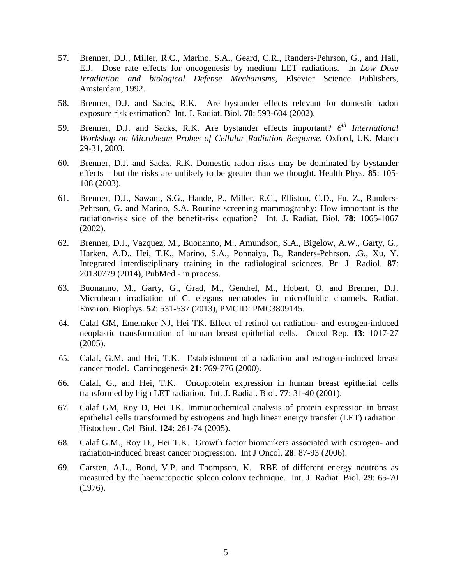- 57. Brenner, D.J., Miller, R.C., Marino, S.A., Geard, C.R., Randers-Pehrson, G., and Hall, E.J. Dose rate effects for oncogenesis by medium LET radiations. In *Low Dose Irradiation and biological Defense Mechanisms*, Elsevier Science Publishers, Amsterdam, 1992.
- 58. Brenner, D.J. and Sachs, R.K. Are bystander effects relevant for domestic radon exposure risk estimation? Int. J. Radiat. Biol. **78**: 593-604 (2002).
- 59. Brenner, D.J. and Sacks, R.K. Are bystander effects important?  $6<sup>th</sup> International$ *Workshop on Microbeam Probes of Cellular Radiation Response,* Oxford, UK, March 29-31, 2003.
- 60. Brenner, D.J. and Sacks, R.K. Domestic radon risks may be dominated by bystander effects – but the risks are unlikely to be greater than we thought. Health Phys. **85**: 105- 108 (2003).
- 61. Brenner, D.J., Sawant, S.G., Hande, P., Miller, R.C., Elliston, C.D., Fu, Z., Randers-Pehrson, G. and Marino, S.A. Routine screening mammography: How important is the radiation-risk side of the benefit-risk equation? Int. J. Radiat. Biol. **78**: 1065-1067 (2002).
- 62. Brenner, D.J., Vazquez, M., Buonanno, M., Amundson, S.A., Bigelow, A.W., Garty, G., Harken, A.D., Hei, T.K., Marino, S.A., Ponnaiya, B., Randers-Pehrson, .G., Xu, Y. Integrated interdisciplinary training in the radiological sciences. Br. J. Radiol. **87**: 20130779 (2014), PubMed - in process.
- 63. Buonanno, M., Garty, G., Grad, M., Gendrel, M., Hobert, O. and Brenner, D.J. Microbeam irradiation of C. elegans nematodes in microfluidic channels. Radiat. Environ. Biophys. **52**: 531-537 (2013), PMCID: PMC3809145.
- 64. Calaf GM, Emenaker NJ, Hei TK. Effect of retinol on radiation- and estrogen-induced neoplastic transformation of human breast epithelial cells. Oncol Rep. **13**: 1017-27 (2005).
- 65. Calaf, G.M. and Hei, T.K. Establishment of a radiation and estrogen-induced breast cancer model. Carcinogenesis **21**: 769-776 (2000).
- 66. Calaf, G., and Hei, T.K. Oncoprotein expression in human breast epithelial cells transformed by high LET radiation. Int. J. Radiat. Biol. **77**: 31-40 (2001).
- 67. Calaf GM, Roy D, Hei TK. Immunochemical analysis of protein expression in breast epithelial cells transformed by estrogens and high linear energy transfer (LET) radiation. Histochem. Cell Biol. **124**: 261-74 (2005).
- 68. Calaf G.M., Roy D., Hei T.K. Growth factor biomarkers associated with estrogen- and radiation-induced breast cancer progression. Int J Oncol. **28**: 87-93 (2006).
- 69. Carsten, A.L., Bond, V.P. and Thompson, K. RBE of different energy neutrons as measured by the haematopoetic spleen colony technique. Int. J. Radiat. Biol. **29**: 65-70 (1976).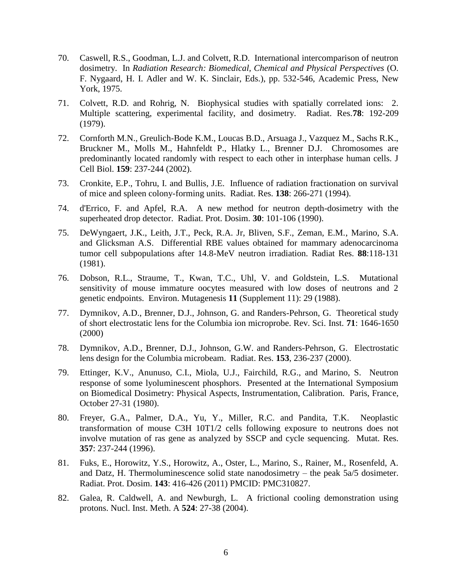- 70. Caswell, R.S., Goodman, L.J. and Colvett, R.D. International intercomparison of neutron dosimetry. In *Radiation Research: Biomedical, Chemical and Physical Perspectives* (O. F. Nygaard, H. I. Adler and W. K. Sinclair, Eds.), pp. 532-546, Academic Press, New York, 1975.
- 71. Colvett, R.D. and Rohrig, N. Biophysical studies with spatially correlated ions: 2. Multiple scattering, experimental facility, and dosimetry. Radiat. Res.**78**: 192-209 (1979).
- 72. Cornforth M.N., Greulich-Bode K.M., Loucas B.D., Arsuaga J., Vazquez M., Sachs R.K., Bruckner M., Molls M., Hahnfeldt P., Hlatky L., Brenner D.J. Chromosomes are predominantly located randomly with respect to each other in interphase human cells. J Cell Biol. **159**: 237-244 (2002).
- 73. Cronkite, E.P., Tohru, I. and Bullis, J.E. Influence of radiation fractionation on survival of mice and spleen colony-forming units. Radiat. Res. **138**: 266-271 (1994).
- 74. d'Errico, F. and Apfel, R.A. A new method for neutron depth-dosimetry with the superheated drop detector. Radiat. Prot. Dosim. **30**: 101-106 (1990).
- 75. DeWyngaert, J.K., Leith, J.T., Peck, R.A. Jr, Bliven, S.F., Zeman, E.M., Marino, S.A. and Glicksman A.S. Differential RBE values obtained for mammary adenocarcinoma tumor cell subpopulations after 14.8-MeV neutron irradiation. Radiat Res. **88**:118-131 (1981).
- 76. Dobson, R.L., Straume, T., Kwan, T.C., Uhl, V. and Goldstein, L.S. Mutational sensitivity of mouse immature oocytes measured with low doses of neutrons and 2 genetic endpoints. Environ. Mutagenesis **11** (Supplement 11): 29 (1988).
- 77. Dymnikov, A.D., Brenner, D.J., Johnson, G. and Randers-Pehrson, G. Theoretical study of short electrostatic lens for the Columbia ion microprobe. Rev. Sci. Inst. **71**: 1646-1650 (2000)
- 78. Dymnikov, A.D., Brenner, D.J., Johnson, G.W. and Randers-Pehrson, G. Electrostatic lens design for the Columbia microbeam. Radiat. Res. **153**, 236-237 (2000).
- 79. Ettinger, K.V., Anunuso, C.I., Miola, U.J., Fairchild, R.G., and Marino, S. Neutron response of some lyoluminescent phosphors. Presented at the International Symposium on Biomedical Dosimetry: Physical Aspects, Instrumentation, Calibration. Paris, France, October 27-31 (1980).
- 80. Freyer, G.A., Palmer, D.A., Yu, Y., Miller, R.C. and Pandita, T.K. Neoplastic transformation of mouse C3H 10T1/2 cells following exposure to neutrons does not involve mutation of ras gene as analyzed by SSCP and cycle sequencing. Mutat. Res. **357**: 237-244 (1996).
- 81. Fuks, E., Horowitz, Y.S., Horowitz, A., Oster, L., Marino, S., Rainer, M., Rosenfeld, A. and Datz, H. Thermoluminescence solid state nanodosimetry – the peak 5a/5 dosimeter. Radiat. Prot. Dosim. **143**: 416-426 (2011) PMCID: PMC310827.
- 82. Galea, R. Caldwell, A. and Newburgh, L. A frictional cooling demonstration using protons. Nucl. Inst. Meth. A **524**: 27-38 (2004).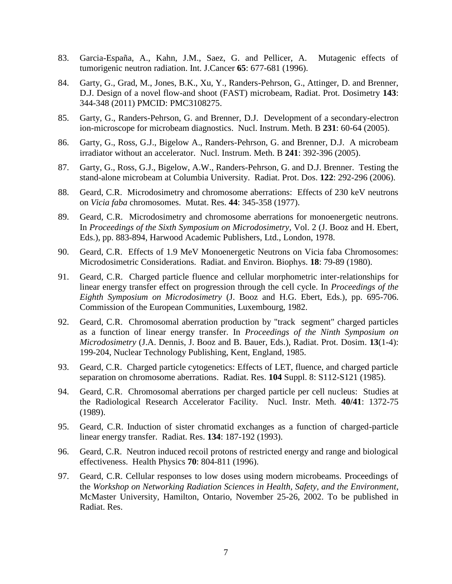- 83. Garcia-España, A., Kahn, J.M., Saez, G. and Pellicer, A. Mutagenic effects of tumorigenic neutron radiation. Int. J.Cancer **65**: 677-681 (1996).
- 84. Garty, G., Grad, M., Jones, B.K., Xu, Y., Randers-Pehrson, G., Attinger, D. and Brenner, D.J. Design of a novel flow-and shoot (FAST) microbeam, Radiat. Prot. Dosimetry **143**: 344-348 (2011) PMCID: PMC3108275.
- 85. Garty, G., Randers-Pehrson, G. and Brenner, D.J. Development of a secondary-electron ion-microscope for microbeam diagnostics. Nucl. Instrum. Meth. B **231**: 60-64 (2005).
- 86. Garty, G., Ross, G.J., Bigelow A., Randers-Pehrson, G. and Brenner, D.J. A microbeam irradiator without an accelerator. Nucl. Instrum. Meth. B **241**: 392-396 (2005).
- 87. Garty, G., Ross, G.J., Bigelow, A.W., Randers-Pehrson, G. and D.J. Brenner. Testing the stand-alone microbeam at Columbia University. Radiat. Prot. Dos. **122**: 292-296 (2006).
- 88. Geard, C.R. Microdosimetry and chromosome aberrations: Effects of 230 keV neutrons on *Vicia faba* chromosomes. Mutat. Res. **44**: 345-358 (1977).
- 89. Geard, C.R. Microdosimetry and chromosome aberrations for monoenergetic neutrons. In *Proceedings of the Sixth Symposium on Microdosimetry,* Vol. 2 (J. Booz and H. Ebert, Eds.), pp. 883-894, Harwood Academic Publishers, Ltd., London, 1978.
- 90. Geard, C.R. Effects of 1.9 MeV Monoenergetic Neutrons on Vicia faba Chromosomes: Microdosimetric Considerations. Radiat. and Environ. Biophys. **18**: 79-89 (1980).
- 91. Geard, C.R. Charged particle fluence and cellular morphometric inter-relationships for linear energy transfer effect on progression through the cell cycle. In *Proceedings of the Eighth Symposium on Microdosimetry* (J. Booz and H.G. Ebert, Eds.), pp. 695-706. Commission of the European Communities, Luxembourg, 1982.
- 92. Geard, C.R. Chromosomal aberration production by "track segment" charged particles as a function of linear energy transfer. In *Proceedings of the Ninth Symposium on Microdosimetry* (J.A. Dennis, J. Booz and B. Bauer, Eds.), Radiat. Prot. Dosim. **13**(1-4): 199-204, Nuclear Technology Publishing, Kent, England, 1985.
- 93. Geard, C.R. Charged particle cytogenetics: Effects of LET, fluence, and charged particle separation on chromosome aberrations. Radiat. Res. **104** Suppl. 8: S112-S121 (1985).
- 94. Geard, C.R. Chromosomal aberrations per charged particle per cell nucleus: Studies at the Radiological Research Accelerator Facility. Nucl. Instr. Meth. **40/41**: 1372-75 (1989).
- 95. Geard, C.R. Induction of sister chromatid exchanges as a function of charged-particle linear energy transfer. Radiat. Res. **134**: 187-192 (1993).
- 96. Geard, C.R. Neutron induced recoil protons of restricted energy and range and biological effectiveness. Health Physics **70**: 804-811 (1996).
- 97. Geard, C.R. Cellular responses to low doses using modern microbeams. Proceedings of the *Workshop on Networking Radiation Sciences in Health, Safety, and the Environment*, McMaster University, Hamilton, Ontario, November 25-26, 2002. To be published in Radiat. Res.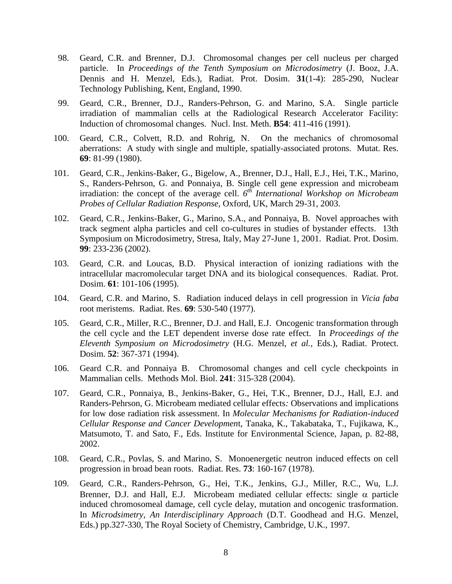- 98. Geard, C.R. and Brenner, D.J. Chromosomal changes per cell nucleus per charged particle. In *Proceedings of the Tenth Symposium on Microdosimetry* (J. Booz, J.A. Dennis and H. Menzel, Eds.), Radiat. Prot. Dosim. **31**(1-4): 285-290, Nuclear Technology Publishing, Kent, England, 1990.
- 99. Geard, C.R., Brenner, D.J., Randers-Pehrson, G. and Marino, S.A. Single particle irradiation of mammalian cells at the Radiological Research Accelerator Facility: Induction of chromosomal changes. Nucl. Inst. Meth. **B54**: 411-416 (1991).
- 100. Geard, C.R., Colvett, R.D. and Rohrig, N. On the mechanics of chromosomal aberrations: A study with single and multiple, spatially-associated protons. Mutat. Res. **69**: 81-99 (1980).
- 101. Geard, C.R., Jenkins-Baker, G., Bigelow, A., Brenner, D.J., Hall, E.J., Hei, T.K., Marino, S., Randers-Pehrson, G. and Ponnaiya, B. Single cell gene expression and microbeam irradiation: the concept of the average cell.  $6^{th}$  *International Workshop on Microbeam Probes of Cellular Radiation Response,* Oxford, UK, March 29-31, 2003.
- 102. Geard, C.R., Jenkins-Baker, G., Marino, S.A., and Ponnaiya, B. Novel approaches with track segment alpha particles and cell co-cultures in studies of bystander effects. 13th Symposium on Microdosimetry, Stresa, Italy, May 27-June 1, 2001. Radiat. Prot. Dosim. **99**: 233-236 (2002).
- 103. Geard, C.R. and Loucas, B.D. Physical interaction of ionizing radiations with the intracellular macromolecular target DNA and its biological consequences. Radiat. Prot. Dosim. **61**: 101-106 (1995).
- 104. Geard, C.R. and Marino, S. Radiation induced delays in cell progression in *Vicia faba* root meristems. Radiat. Res. **69**: 530-540 (1977).
- 105. Geard, C.R., Miller, R.C., Brenner, D.J. and Hall, E.J. Oncogenic transformation through the cell cycle and the LET dependent inverse dose rate effect. In *Proceedings of the Eleventh Symposium on Microdosimetry* (H.G. Menzel, *et al.*, Eds.), Radiat. Protect. Dosim. **52**: 367-371 (1994).
- 106. [Geard C.R. and Ponnaiya B.](http://www.ncbi.nlm.nih.gov/entrez/query.fcgi?cmd=Retrieve&db=pubmed&dopt=Abstract&list_uids=14970664) Chromosomal changes and cell cycle checkpoints in Mammalian cells. Methods Mol. Biol. **241**: 315-328 (2004).
- 107. Geard, C.R., Ponnaiya, B., Jenkins-Baker, G., Hei, T.K., Brenner, D.J., Hall, E.J. and Randers-Pehrson, G. Microbeam mediated cellular effects*:* Observations and implications for low dose radiation risk assessment. In *Molecular Mechanisms for Radiation-induced Cellular Response and Cancer Developmen*t, Tanaka, K., Takabataka, T., Fujikawa, K., Matsumoto, T. and Sato, F., Eds. Institute for Environmental Science, Japan, p. 82-88, 2002.
- 108. Geard, C.R., Povlas, S. and Marino, S. Monoenergetic neutron induced effects on cell progression in broad bean roots. Radiat. Res. **73**: 160-167 (1978).
- 109. Geard, C.R., Randers-Pehrson, G., Hei, T.K., Jenkins, G.J., Miller, R.C., Wu, L.J. Brenner, D.J. and Hall, E.J. Microbeam mediated cellular effects: single  $\alpha$  particle induced chromosomeal damage, cell cycle delay, mutation and oncogenic trasformation. In *Microdsimetry, An Interdisciplinary Approach* (D.T. Goodhead and H.G. Menzel, Eds.) pp.327-330, The Royal Society of Chemistry, Cambridge, U.K., 1997.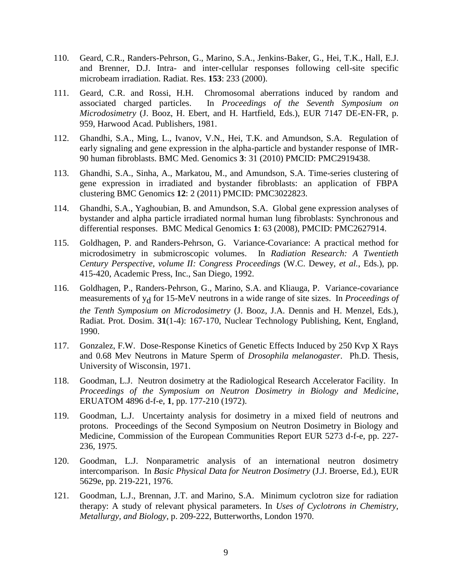- 110. Geard, C.R., Randers-Pehrson, G., Marino, S.A., Jenkins-Baker, G., Hei, T.K., Hall, E.J. and Brenner, D.J. Intra- and inter-cellular responses following cell-site specific microbeam irradiation. Radiat. Res. **153**: 233 (2000).
- 111. Geard, C.R. and Rossi, H.H. Chromosomal aberrations induced by random and associated charged particles. In *Proceedings of the Seventh Symposium on Microdosimetry* (J. Booz, H. Ebert, and H. Hartfield, Eds.), EUR 7147 DE-EN-FR, p. 959, Harwood Acad. Publishers, 1981.
- 112. Ghandhi, S.A., Ming, L., Ivanov, V.N., Hei, T.K. and Amundson, S.A. Regulation of early signaling and gene expression in the alpha-particle and bystander response of IMR-90 human fibroblasts. BMC Med. Genomics **3**: 31 (2010) PMCID: PMC2919438.
- 113. Ghandhi, S.A., Sinha, A., Markatou, M., and Amundson, S.A. Time-series clustering of gene expression in irradiated and bystander fibroblasts: an application of FBPA clustering BMC Genomics **12**: 2 (2011) PMCID: PMC3022823.
- 114. Ghandhi, S.A., Yaghoubian, B. and Amundson, S.A. Global gene expression analyses of bystander and alpha particle irradiated normal human lung fibroblasts: Synchronous and differential responses. BMC Medical Genomics **1**: 63 (2008), PMCID: PMC2627914.
- 115. Goldhagen, P. and Randers-Pehrson, G. Variance-Covariance: A practical method for microdosimetry in submicroscopic volumes. In *Radiation Research: A Twentieth Century Perspective, volume II: Congress Proceedings* (W.C. Dewey, *et al.*, Eds.), pp. 415-420, Academic Press, Inc., San Diego, 1992.
- 116. Goldhagen, P., Randers-Pehrson, G., Marino, S.A. and Kliauga, P. Variance-covariance measurements of yd for 15-MeV neutrons in a wide range of site sizes. In *Proceedings of the Tenth Symposium on Microdosimetry* (J. Booz, J.A. Dennis and H. Menzel, Eds.), Radiat. Prot. Dosim. **31**(1-4): 167-170, Nuclear Technology Publishing, Kent, England, 1990.
- 117. Gonzalez, F.W. Dose-Response Kinetics of Genetic Effects Induced by 250 Kvp X Rays and 0.68 Mev Neutrons in Mature Sperm of *Drosophila melanogaster*. Ph.D. Thesis, University of Wisconsin, 1971.
- 118. Goodman, L.J. Neutron dosimetry at the Radiological Research Accelerator Facility. In *Proceedings of the Symposium on Neutron Dosimetry in Biology and Medicine*, ERUATOM 4896 d-f-e, **1**, pp. 177-210 (1972).
- 119. Goodman, L.J. Uncertainty analysis for dosimetry in a mixed field of neutrons and protons. Proceedings of the Second Symposium on Neutron Dosimetry in Biology and Medicine, Commission of the European Communities Report EUR 5273 d-f-e, pp. 227- 236, 1975.
- 120. Goodman, L.J. Nonparametric analysis of an international neutron dosimetry intercomparison. In *Basic Physical Data for Neutron Dosimetry* (J.J. Broerse, Ed.), EUR 5629e, pp. 219-221, 1976.
- 121. Goodman, L.J., Brennan, J.T. and Marino, S.A. Minimum cyclotron size for radiation therapy: A study of relevant physical parameters. In *Uses of Cyclotrons in Chemistry, Metallurgy, and Biology*, p. 209-222, Butterworths, London 1970.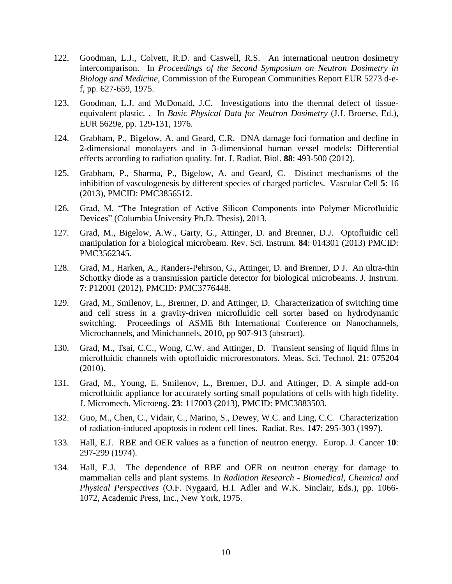- 122. Goodman, L.J., Colvett, R.D. and Caswell, R.S. An international neutron dosimetry intercomparison. In *Proceedings of the Second Symposium on Neutron Dosimetry in Biology and Medicine*, Commission of the European Communities Report EUR 5273 d-ef, pp. 627-659, 1975.
- 123. Goodman, L.J. and McDonald, J.C. Investigations into the thermal defect of tissueequivalent plastic. . In *Basic Physical Data for Neutron Dosimetry* (J.J. Broerse, Ed.), EUR 5629e, pp. 129-131, 1976.
- 124. Grabham, P., Bigelow, A. and Geard, C.R. DNA damage foci formation and decline in 2-dimensional monolayers and in 3-dimensional human vessel models: Differential effects according to radiation quality. Int. J. Radiat. Biol. **88**: 493-500 (2012).
- 125. Grabham, P., Sharma, P., Bigelow, A. and Geard, C. Distinct mechanisms of the inhibition of vasculogenesis by different species of charged particles. Vascular Cell **5**: 16 (2013), PMCID: PMC3856512.
- 126. Grad, M. "The Integration of Active Silicon Components into Polymer Microfluidic Devices" (Columbia University Ph.D. Thesis), 2013.
- 127. Grad, M., Bigelow, A.W., Garty, G., Attinger, D. and Brenner, D.J. Optofluidic cell manipulation for a biological microbeam. Rev. Sci. Instrum. **84**: 014301 (2013) PMCID: PMC3562345.
- 128. Grad, M., Harken, A., Randers-Pehrson, G., Attinger, D. and Brenner, D J. An ultra-thin Schottky diode as a transmission particle detector for biological microbeams. J. Instrum. **7**: P12001 (2012), PMCID: PMC3776448.
- 129. Grad, M., Smilenov, L., Brenner, D. and Attinger, D. Characterization of switching time and cell stress in a gravity-driven microfluidic cell sorter based on hydrodynamic switching. Proceedings of ASME 8th International Conference on Nanochannels, Microchannels, and Minichannels, 2010, pp 907-913 (abstract).
- 130. Grad, M., Tsai, C.C., Wong, C.W. and Attinger, D. Transient sensing of liquid films in microfluidic channels with optofluidic microresonators. Meas. Sci. Technol. **21**: 075204 (2010).
- 131. Grad, M., Young, E. Smilenov, L., Brenner, D.J. and Attinger, D. A simple add-on microfluidic appliance for accurately sorting small populations of cells with high fidelity. J. Micromech. Microeng. **23**: 117003 (2013), PMCID: PMC3883503.
- 132. Guo, M., Chen, C., Vidair, C., Marino, S., Dewey, W.C. and Ling, C.C. Characterization of radiation-induced apoptosis in rodent cell lines. Radiat. Res. **147**: 295-303 (1997).
- 133. Hall, E.J. RBE and OER values as a function of neutron energy. Europ. J. Cancer **10**: 297-299 (1974).
- 134. Hall, E.J. The dependence of RBE and OER on neutron energy for damage to mammalian cells and plant systems. In *Radiation Research - Biomedical, Chemical and Physical Perspectives* (O.F. Nygaard, H.I. Adler and W.K. Sinclair, Eds.), pp. 1066- 1072, Academic Press, Inc., New York, 1975.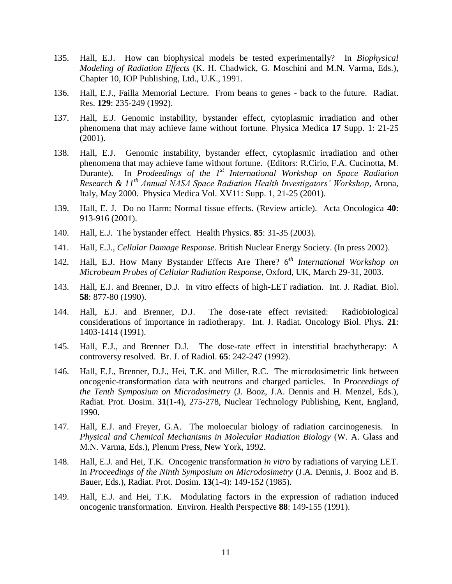- 135. Hall, E.J. How can biophysical models be tested experimentally? In *Biophysical Modeling of Radiation Effects* (K. H. Chadwick, G. Moschini and M.N. Varma, Eds.), Chapter 10, IOP Publishing, Ltd., U.K., 1991.
- 136. Hall, E.J., Failla Memorial Lecture. From beans to genes back to the future. Radiat. Res. **129**: 235-249 (1992).
- 137. Hall, E.J. Genomic instability, bystander effect, cytoplasmic irradiation and other phenomena that may achieve fame without fortune. Physica Medica **17** Supp. 1: 21-25 (2001).
- 138. Hall, E.J. Genomic instability, bystander effect, cytoplasmic irradiation and other phenomena that may achieve fame without fortune. (Editors: R.Cirio, F.A. Cucinotta, M. Durante). In *Prodeedings of the 1st International Workshop on Space Radiation Research & 11th Annual NASA Space Radiation Health Investigators' Workshop*, Arona, Italy, May 2000. Physica Medica Vol. XV11: Supp. 1, 21-25 (2001).
- 139. Hall, E. J. Do no Harm: Normal tissue effects. (Review article). Acta Oncologica **40**: 913-916 (2001).
- 140. Hall, E.J. The bystander effect. Health Physics. **85**: 31-35 (2003).
- 141. Hall, E.J., *Cellular Damage Response*. British Nuclear Energy Society. (In press 2002).
- 142. Hall, E.J. How Many Bystander Effects Are There? *6 th International Workshop on Microbeam Probes of Cellular Radiation Response*, Oxford, UK, March 29-31, 2003.
- 143. Hall, E.J. and Brenner, D.J. In vitro effects of high-LET radiation. Int. J. Radiat. Biol. **58**: 877-80 (1990).
- 144. Hall, E.J. and Brenner, D.J. The dose-rate effect revisited: Radiobiological considerations of importance in radiotherapy. Int. J. Radiat. Oncology Biol. Phys. **21**: 1403-1414 (1991).
- 145. Hall, E.J., and Brenner D.J. The dose-rate effect in interstitial brachytherapy: A controversy resolved. Br. J. of Radiol. **65**: 242-247 (1992).
- 146. Hall, E.J., Brenner, D.J., Hei, T.K. and Miller, R.C. The microdosimetric link between oncogenic-transformation data with neutrons and charged particles. In *Proceedings of the Tenth Symposium on Microdosimetry* (J. Booz, J.A. Dennis and H. Menzel, Eds.), Radiat. Prot. Dosim. **31**(1-4), 275-278, Nuclear Technology Publishing, Kent, England, 1990.
- 147. Hall, E.J. and Freyer, G.A. The moloecular biology of radiation carcinogenesis. In *Physical and Chemical Mechanisms in Molecular Radiation Biology* (W. A. Glass and M.N. Varma, Eds.), Plenum Press, New York, 1992.
- 148. Hall, E.J. and Hei, T.K. Oncogenic transformation *in vitro* by radiations of varying LET. In *Proceedings of the Ninth Symposium on Microdosimetry* (J.A. Dennis, J. Booz and B. Bauer, Eds.), Radiat. Prot. Dosim. **13**(1-4): 149-152 (1985).
- 149. Hall, E.J. and Hei, T.K. Modulating factors in the expression of radiation induced oncogenic transformation. Environ. Health Perspective **88**: 149-155 (1991).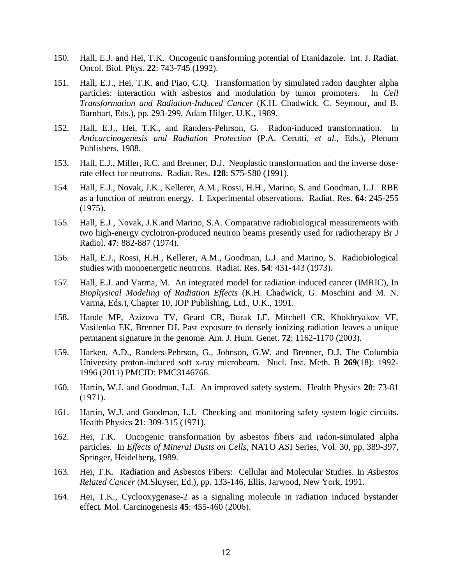- 150. Hall, E.J. and Hei, T.K. Oncogenic transforming potential of Etanidazole. Int. J. Radiat. Oncol. Biol. Phys. **22**: 743-745 (1992).
- 151. Hall, E.J., Hei, T.K. and Piao, C.Q. Transformation by simulated radon daughter alpha particles: interaction with asbestos and modulation by tumor promoters. In *Cell Transformation and Radiation-Induced Cancer* (K.H. Chadwick, C. Seymour, and B. Barnhart, Eds.), pp. 293-299, Adam Hilger, U.K., 1989.
- 152. Hall, E.J., Hei, T.K., and Randers-Pehrson, G. Radon-induced transformation. In *Anticarcinogenesis and Radiation Protection* (P.A. Cerutti, *et al.*, Eds.), Plenum Publishers, 1988.
- 153. Hall, E.J., Miller, R.C. and Brenner, D.J. Neoplastic transformation and the inverse doserate effect for neutrons. Radiat. Res. **128**: S75-S80 (1991).
- 154. Hall, E.J., Novak, J.K., Kellerer, A.M., Rossi, H.H., Marino, S. and Goodman, L.J. RBE as a function of neutron energy. I. Experimental observations. Radiat. Res. **64**: 245-255 (1975).
- 155. Hall, E.J., Novak, J.K.and Marino, S.A. Comparative radiobiological measurements with two high-energy cyclotron-produced neutron beams presently used for radiotherapy Br J Radiol. **47**: 882-887 (1974).
- 156. Hall, E.J., Rossi, H.H., Kellerer, A.M., Goodman, L.J. and Marino, S. Radiobiological studies with monoenergetic neutrons. Radiat. Res. **54**: 431-443 (1973).
- 157. Hall, E.J. and Varma, M. An integrated model for radiation induced cancer (IMRIC), In *Biophysical Modeling of Radiation Effects* (K.H. Chadwick, G. Moschini and M. N. Varma, Eds.), Chapter 10, IOP Publishing, Ltd., U.K., 1991.
- 158. Hande MP, Azizova TV, Geard CR, Burak LE, Mitchell CR, Khokhryakov VF, Vasilenko EK, Brenner DJ. Past exposure to densely ionizing radiation leaves a unique permanent signature in the genome. Am. J. Hum. Genet. **72**: 1162-1170 (2003).
- 159. Harken, A.D., Randers-Pehrson, G., Johnson, G.W. and Brenner, D.J. The Columbia University proton-induced soft x-ray microbeam. Nucl. Inst. Meth. B **269**(18): 1992- 1996 (2011) PMCID: PMC3146766.
- 160. Hartin, W.J. and Goodman, L.J. An improved safety system. Health Physics **20**: 73-81 (1971).
- 161. Hartin, W.J. and Goodman, L.J. Checking and monitoring safety system logic circuits. Health Physics **21**: 309-315 (1971).
- 162. Hei, T.K. Oncogenic transformation by asbestos fibers and radon-simulated alpha particles. In *Effects of Mineral Dusts on Cells*, NATO ASI Series, Vol. 30, pp. 389-397, Springer, Heidelberg, 1989.
- 163. Hei, T.K. Radiation and Asbestos Fibers: Cellular and Molecular Studies. In *Asbestos Related Cancer* (M.Sluyser, Ed.), pp. 133-146, Ellis, Jarwood, New York, 1991.
- 164. Hei, T.K., Cyclooxygenase-2 as a signaling molecule in radiation induced bystander effect. Mol. Carcinogenesis **45**: 455-460 (2006).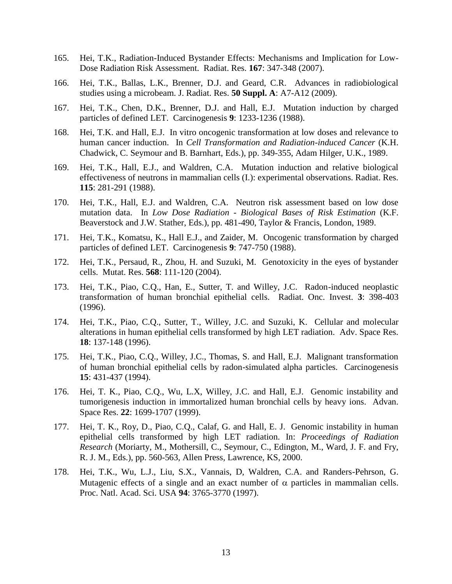- 165. Hei, T.K., Radiation-Induced Bystander Effects: Mechanisms and Implication for Low-Dose Radiation Risk Assessment. Radiat. Res. **167**: 347-348 (2007).
- 166. Hei, T.K., Ballas, L.K., Brenner, D.J. and Geard, C.R. Advances in radiobiological studies using a microbeam. J. Radiat. Res. **50 Suppl. A**: A7-A12 (2009).
- 167. Hei, T.K., Chen, D.K., Brenner, D.J. and Hall, E.J. Mutation induction by charged particles of defined LET. Carcinogenesis **9**: 1233-1236 (1988).
- 168. Hei, T.K. and Hall, E.J. In vitro oncogenic transformation at low doses and relevance to human cancer induction. In *Cell Transformation and Radiation-induced Cancer* (K.H. Chadwick, C. Seymour and B. Barnhart, Eds.), pp. 349-355, Adam Hilger, U.K., 1989.
- 169. Hei, T.K., Hall, E.J., and Waldren, C.A. Mutation induction and relative biological effectiveness of neutrons in mammalian cells (I.): experimental observations. Radiat. Res. **115**: 281-291 (1988).
- 170. Hei, T.K., Hall, E.J. and Waldren, C.A. Neutron risk assessment based on low dose mutation data. In *Low Dose Radiation - Biological Bases of Risk Estimation* (K.F. Beaverstock and J.W. Stather, Eds.), pp. 481-490, Taylor & Francis, London, 1989.
- 171. Hei, T.K., Komatsu, K., Hall E.J., and Zaider, M. Oncogenic transformation by charged particles of defined LET. Carcinogenesis **9**: 747-750 (1988).
- 172. Hei, T.K., Persaud, R., Zhou, H. and Suzuki, M. Genotoxicity in the eyes of bystander cells. Mutat. Res. **568**: 111-120 (2004).
- 173. Hei, T.K., Piao, C.Q., Han, E., Sutter, T. and Willey, J.C. Radon-induced neoplastic transformation of human bronchial epithelial cells. Radiat. Onc. Invest. **3**: 398-403 (1996).
- 174. Hei, T.K., Piao, C.Q., Sutter, T., Willey, J.C. and Suzuki, K. Cellular and molecular alterations in human epithelial cells transformed by high LET radiation. Adv. Space Res. **18**: 137-148 (1996).
- 175. Hei, T.K., Piao, C.Q., Willey, J.C., Thomas, S. and Hall, E.J. Malignant transformation of human bronchial epithelial cells by radon-simulated alpha particles. Carcinogenesis **15**: 431-437 (1994).
- 176. Hei, T. K., Piao, C.Q., Wu, L.X, Willey, J.C. and Hall, E.J. Genomic instability and tumorigenesis induction in immortalized human bronchial cells by heavy ions. Advan. Space Res. **22**: 1699-1707 (1999).
- 177. Hei, T. K., Roy, D., Piao, C.Q., Calaf, G. and Hall, E. J. Genomic instability in human epithelial cells transformed by high LET radiation. In: *Proceedings of Radiation Research* (Moriarty, M., Mothersill, C., Seymour, C., Edington, M., Ward, J. F. and Fry, R. J. M., Eds.), pp. 560-563, Allen Press, Lawrence, KS, 2000.
- 178. Hei, T.K., Wu, L.J., Liu, S.X., Vannais, D, Waldren, C.A. and Randers-Pehrson, G. Mutagenic effects of a single and an exact number of  $\alpha$  particles in mammalian cells. Proc. Natl. Acad. Sci. USA **94**: 3765-3770 (1997).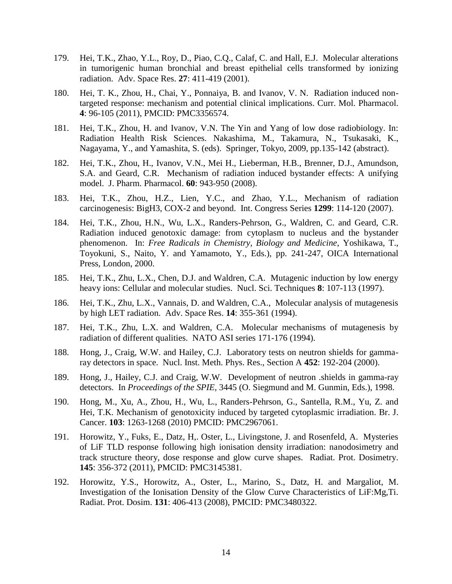- 179. Hei, T.K., Zhao, Y.L., Roy, D., Piao, C.Q., Calaf, C. and Hall, E.J. Molecular alterations in tumorigenic human bronchial and breast epithelial cells transformed by ionizing radiation. Adv. Space Res. **27**: 411-419 (2001).
- 180. Hei, T. K., Zhou, H., Chai, Y., Ponnaiya, B. and Ivanov, V. N. Radiation induced nontargeted response: mechanism and potential clinical implications. Curr. Mol. Pharmacol. **4**: 96-105 (2011), PMCID: PMC3356574.
- 181. Hei, T.K., Zhou, H. and Ivanov, V.N. The Yin and Yang of low dose radiobiology. In: Radiation Health Risk Sciences. Nakashima, M., Takamura, N., Tsukasaki, K., Nagayama, Y., and Yamashita, S. (eds). Springer, Tokyo, 2009, pp.135-142 (abstract).
- 182. Hei, T.K., Zhou, H., Ivanov, V.N., Mei H., Lieberman, H.B., Brenner, D.J., Amundson, S.A. and Geard, C.R. Mechanism of radiation induced bystander effects: A unifying model. J. Pharm. Pharmacol. **60**: 943-950 (2008).
- 183. Hei, T.K., Zhou, H.Z., Lien, Y.C., and Zhao, Y.L., Mechanism of radiation carcinogenesis: BigH3, COX-2 and beyond. Int. Congress Series **1299**: 114-120 (2007).
- 184. Hei, T.K., Zhou, H.N., Wu, L.X., Randers-Pehrson, G., Waldren, C. and Geard, C.R. Radiation induced genotoxic damage: from cytoplasm to nucleus and the bystander phenomenon. In: *Free Radicals in Chemistry, Biology and Medicine*, Yoshikawa, T., Toyokuni, S., Naito, Y. and Yamamoto, Y., Eds.), pp. 241-247, OICA International Press, London, 2000.
- 185. Hei, T.K., Zhu, L.X., Chen, D.J. and Waldren, C.A. Mutagenic induction by low energy heavy ions: Cellular and molecular studies. Nucl. Sci. Techniques **8**: 107-113 (1997).
- 186. Hei, T.K., Zhu, L.X., Vannais, D. and Waldren, C.A., Molecular analysis of mutagenesis by high LET radiation. Adv. Space Res. **14**: 355-361 (1994).
- 187. Hei, T.K., Zhu, L.X. and Waldren, C.A. Molecular mechanisms of mutagenesis by radiation of different qualities. NATO ASI series 171-176 (1994).
- 188. Hong, J., Craig, W.W. and Hailey, C.J. Laboratory tests on neutron shields for gammaray detectors in space. Nucl. Inst. Meth. Phys. Res., Section A **452**: 192-204 (2000).
- 189. Hong, J., Hailey, C.J. and Craig, W.W. Development of neutron .shields in gamma-ray detectors. In *Proceedings of the SPIE*, 3445 (O. Siegmund and M. Gunmin, Eds.), 1998.
- 190. Hong, M., Xu, A., Zhou, H., Wu, L., Randers-Pehrson, G., Santella, R.M., Yu, Z. and Hei, T.K. Mechanism of genotoxicity induced by targeted cytoplasmic irradiation. Br. J. Cancer. **103**: 1263-1268 (2010) PMCID: PMC2967061.
- 191. Horowitz, Y., Fuks, E., Datz, H,. Oster, L., Livingstone, J. and Rosenfeld, A. Mysteries of LiF TLD response following high ionisation density irradiation: nanodosimetry and track structure theory, dose response and glow curve shapes. Radiat. Prot. Dosimetry. **145**: 356-372 (2011), PMCID: PMC3145381.
- 192. Horowitz, Y.S., Horowitz, A., Oster, L., Marino, S., Datz, H. and Margaliot, M. Investigation of the Ionisation Density of the Glow Curve Characteristics of LiF:Mg,Ti. Radiat. Prot. Dosim. **131**: 406-413 (2008), PMCID: PMC3480322.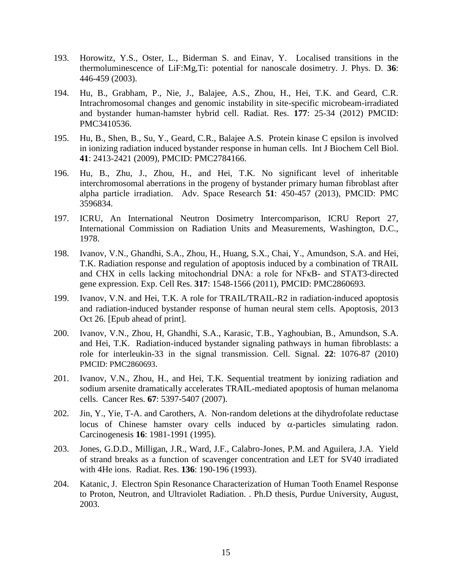- 193. Horowitz, Y.S., Oster, L., Biderman S. and Einav, Y. Localised transitions in the thermoluminescence of LiF:Mg,Ti: potential for nanoscale dosimetry. J. Phys. D. **36**: 446-459 (2003).
- 194. Hu, B., Grabham, P., Nie, J., Balajee, A.S., Zhou, H., Hei, T.K. and Geard, C.R. Intrachromosomal changes and genomic instability in site-specific microbeam-irradiated and bystander human-hamster hybrid cell. Radiat. Res. **177**: 25-34 (2012) PMCID: PMC3410536.
- 195. Hu, B., Shen, B., Su, Y., Geard, C.R., Balajee A.S. Protein kinase C epsilon is involved in ionizing radiation induced bystander response in human cells. Int J Biochem Cell Biol. **41**: 2413-2421 (2009), PMCID: PMC2784166.
- 196. Hu, B., Zhu, J., Zhou, H., and Hei, T.K. No significant level of inheritable interchromosomal aberrations in the progeny of bystander primary human fibroblast after alpha particle irradiation. Adv. Space Research **51**: 450-457 (2013), PMCID: PMC 3596834.
- 197. ICRU, An International Neutron Dosimetry Intercomparison, ICRU Report 27, International Commission on Radiation Units and Measurements, Washington, D.C., 1978.
- 198. Ivanov, V.N., Ghandhi, S.A., Zhou, H., Huang, S.X., Chai, Y., Amundson, S.A. and Hei, T.K. Radiation response and regulation of apoptosis induced by a combination of TRAIL and CHX in cells lacking mitochondrial DNA: a role for NFκB- and STAT3-directed gene expression. Exp. Cell Res. **317**: 1548-1566 (2011), PMCID: PMC2860693.
- 199. Ivanov, V.N. and Hei, T.K. A role for TRAIL/TRAIL-R2 in radiation-induced apoptosis and radiation-induced bystander response of human neural stem cells. Apoptosis, 2013 Oct 26. [Epub ahead of print].
- 200. Ivanov, V.N., Zhou, H, Ghandhi, S.A., Karasic, T.B., Yaghoubian, B., Amundson, S.A. and Hei, T.K. Radiation-induced bystander signaling pathways in human fibroblasts: a role for interleukin-33 in the signal transmission. Cell. Signal. **22**: 1076-87 (2010) PMCID: PMC2860693.
- 201. Ivanov, V.N., Zhou, H., and Hei, T.K. Sequential treatment by ionizing radiation and sodium arsenite dramatically accelerates TRAIL-mediated apoptosis of human melanoma cells. Cancer Res. **67**: 5397-5407 (2007).
- 202. Jin, Y., Yie, T-A. and Carothers, A. Non-random deletions at the dihydrofolate reductase locus of Chinese hamster ovary cells induced by  $\alpha$ -particles simulating radon. Carcinogenesis **16**: 1981-1991 (1995).
- 203. Jones, G.D.D., Milligan, J.R., Ward, J.F., Calabro-Jones, P.M. and Aguilera, J.A. Yield of strand breaks as a function of scavenger concentration and LET for SV40 irradiated with 4He ions. Radiat. Res. **136**: 190-196 (1993).
- 204. Katanic, J. Electron Spin Resonance Characterization of Human Tooth Enamel Response to Proton, Neutron, and Ultraviolet Radiation. . Ph.D thesis, Purdue University, August, 2003.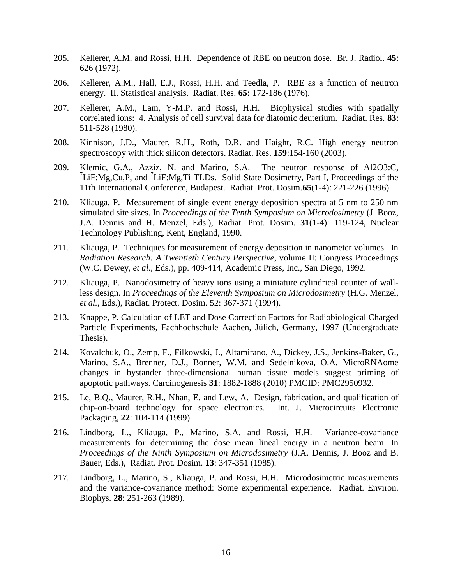- 205. Kellerer, A.M. and Rossi, H.H. Dependence of RBE on neutron dose. Br. J. Radiol. **45**: 626 (1972).
- 206. Kellerer, A.M., Hall, E.J., Rossi, H.H. and Teedla, P. RBE as a function of neutron energy. II. Statistical analysis. Radiat. Res. **65:** 172-186 (1976).
- 207. Kellerer, A.M., Lam, Y-M.P. and Rossi, H.H. Biophysical studies with spatially correlated ions: 4. Analysis of cell survival data for diatomic deuterium. Radiat. Res. **83**: 511-528 (1980).
- 208. Kinnison, J.D., Maurer, R.H., Roth, D.R. and Haight, R.C. High energy neutron spectroscopy with thick silicon detectors. Radiat. Res. **159**:154-160 (2003).
- 209. Klemic, G.A., Azziz, N. and Marino, S.A. The neutron response of Al2O3:C,  $7$ LiF:Mg,Cu,P, and  $7$ LiF:Mg,Ti TLDs. Solid State Dosimetry, Part I, Proceedings of the 11th International Conference, Budapest. Radiat. Prot. Dosim.**65**(1-4): 221-226 (1996).
- 210. Kliauga, P. Measurement of single event energy deposition spectra at 5 nm to 250 nm simulated site sizes. In *Proceedings of the Tenth Symposium on Microdosimetry* (J. Booz, J.A. Dennis and H. Menzel, Eds.), Radiat. Prot. Dosim. **31**(1-4): 119-124, Nuclear Technology Publishing, Kent, England, 1990.
- 211. Kliauga, P. Techniques for measurement of energy deposition in nanometer volumes. In *Radiation Research: A Twentieth Century Perspective*, volume II: Congress Proceedings (W.C. Dewey, *et al.*, Eds.), pp. 409-414, Academic Press, Inc., San Diego, 1992.
- 212. Kliauga, P. Nanodosimetry of heavy ions using a miniature cylindrical counter of wallless design. In *Proceedings of the Eleventh Symposium on Microdosimetry* (H.G. Menzel, *et al.*, Eds.), Radiat. Protect. Dosim. 52: 367-371 (1994).
- 213. Knappe, P. Calculation of LET and Dose Correction Factors for Radiobiological Charged Particle Experiments, Fachhochschule Aachen, Jülich, Germany, 1997 (Undergraduate Thesis).
- 214. Kovalchuk, O., Zemp, F., Filkowski, J., Altamirano, A., Dickey, J.S., Jenkins-Baker, G., Marino, S.A., Brenner, D.J., Bonner, W.M. and Sedelnikova, O.A. MicroRNAome changes in bystander three-dimensional human tissue models suggest priming of apoptotic pathways. Carcinogenesis **31**: 1882-1888 (2010) PMCID: PMC2950932.
- 215. Le, B.Q., Maurer, R.H., Nhan, E. and Lew, A. Design, fabrication, and qualification of chip-on-board technology for space electronics. Int. J. Microcircuits Electronic Packaging, **22**: 104-114 (1999).
- 216. Lindborg, L., Kliauga, P., Marino, S.A. and Rossi, H.H. Variance-covariance measurements for determining the dose mean lineal energy in a neutron beam. In *Proceedings of the Ninth Symposium on Microdosimetry* (J.A. Dennis, J. Booz and B. Bauer, Eds.), Radiat. Prot. Dosim. **13**: 347-351 (1985).
- 217. Lindborg, L., Marino, S., Kliauga, P. and Rossi, H.H. Microdosimetric measurements and the variance-covariance method: Some experimental experience. Radiat. Environ. Biophys. **28**: 251-263 (1989).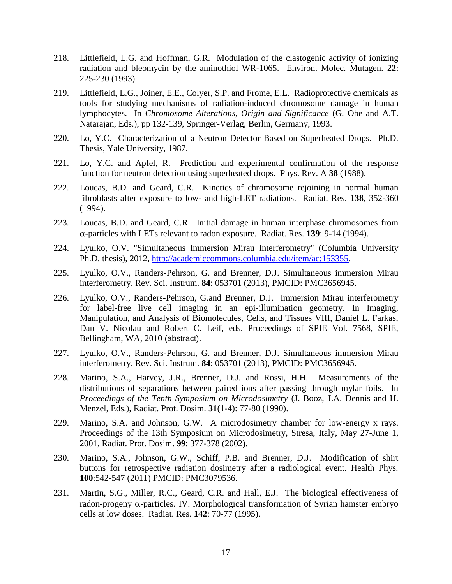- 218. Littlefield, L.G. and Hoffman, G.R. Modulation of the clastogenic activity of ionizing radiation and bleomycin by the aminothiol WR-1065. Environ. Molec. Mutagen. **22**: 225-230 (1993).
- 219. Littlefield, L.G., Joiner, E.E., Colyer, S.P. and Frome, E.L. Radioprotective chemicals as tools for studying mechanisms of radiation-induced chromosome damage in human lymphocytes. In *Chromosome Alterations, Origin and Significance* (G. Obe and A.T. Natarajan, Eds.), pp 132-139, Springer-Verlag, Berlin, Germany, 1993.
- 220. Lo, Y.C. Characterization of a Neutron Detector Based on Superheated Drops. Ph.D. Thesis, Yale University, 1987.
- 221. Lo, Y.C. and Apfel, R. Prediction and experimental confirmation of the response function for neutron detection using superheated drops. Phys. Rev. A **38** (1988).
- 222. Loucas, B.D. and Geard, C.R. Kinetics of chromosome rejoining in normal human fibroblasts after exposure to low- and high-LET radiations. Radiat. Res. **138**, 352-360 (1994).
- 223. Loucas, B.D. and Geard, C.R. Initial damage in human interphase chromosomes from -particles with LETs relevant to radon exposure. Radiat. Res. **139**: 9-14 (1994).
- 224. Lyulko, O.V. "Simultaneous Immersion Mirau Interferometry" (Columbia University Ph.D. thesis), 2012, [http://academiccommons.columbia.edu/item/ac:153355.](http://academiccommons.columbia.edu/item/ac:153355)
- 225. Lyulko, O.V., Randers-Pehrson, G. and Brenner, D.J. Simultaneous immersion Mirau interferometry. Rev. Sci. Instrum. **84**: 053701 (2013), PMCID: PMC3656945.
- 226. Lyulko, O.V., Randers-Pehrson, G.and Brenner, D.J. Immersion Mirau interferometry for label-free live cell imaging in an epi-illumination geometry. In Imaging, Manipulation, and Analysis of Biomolecules, Cells, and Tissues VIII, Daniel L. Farkas, Dan V. Nicolau and Robert C. Leif, eds. Proceedings of SPIE Vol. 7568, SPIE, Bellingham, WA, 2010 (abstract).
- 227. Lyulko, O.V., Randers-Pehrson, G. and Brenner, D.J. Simultaneous immersion Mirau interferometry. Rev. Sci. Instrum. **84**: 053701 (2013), PMCID: PMC3656945.
- 228. Marino, S.A., Harvey, J.R., Brenner, D.J. and Rossi, H.H. Measurements of the distributions of separations between paired ions after passing through mylar foils. In *Proceedings of the Tenth Symposium on Microdosimetry* (J. Booz, J.A. Dennis and H. Menzel, Eds.), Radiat. Prot. Dosim. **31**(1-4): 77-80 (1990).
- 229. Marino, S.A. and Johnson, G.W. A microdosimetry chamber for low-energy x rays. Proceedings of the 13th Symposium on Microdosimetry, Stresa, Italy, May 27-June 1, 2001, Radiat. Prot. Dosim**. 99**: 377-378 (2002).
- 230. Marino, S.A., Johnson, G.W., Schiff, P.B. and Brenner, D.J. Modification of shirt buttons for retrospective radiation dosimetry after a radiological event. Health Phys. **100**:542-547 (2011) PMCID: PMC3079536.
- 231. Martin, S.G., Miller, R.C., Geard, C.R. and Hall, E.J. The biological effectiveness of radon-progeny  $\alpha$ -particles. IV. Morphological transformation of Syrian hamster embryo cells at low doses. Radiat. Res. **142**: 70-77 (1995).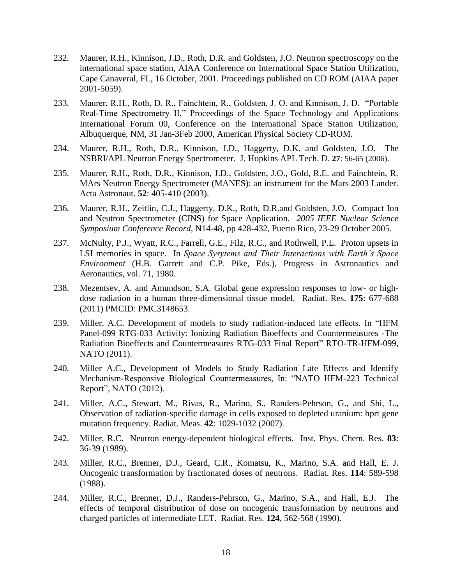- 232. Maurer, R.H., Kinnison, J.D., Roth, D.R. and Goldsten, J.O. Neutron spectroscopy on the international space station, AIAA Conference on International Space Station Utilization, Cape Canaveral, FL, 16 October, 2001. Proceedings published on CD ROM (AIAA paper 2001-5059).
- 233. Maurer, R.H., Roth, D. R., Fainchtein, R., Goldsten, J. O. and Kinnison, J. D. "Portable Real-Time Spectrometry II," Proceedings of the Space Technology and Applications International Forum 00, Conference on the International Space Station Utilization, Albuquerque, NM, 31 Jan-3Feb 2000, American Physical Society CD-ROM.
- 234. Maurer, R.H., Roth, D.R., Kinnison, J.D., Haggerty, D.K. and Goldsten, J.O. The NSBRI/APL Neutron Energy Spectrometer. J. Hopkins APL Tech. D. **27**: 56-65 (2006).
- 235. Maurer, R.H., Roth, D.R., Kinnison, J.D., Goldsten, J.O., Gold, R.E. and Fainchtein, R. MArs Neutron Energy Spectrometer (MANES): an instrument for the Mars 2003 Lander. Acta Astronaut. **52**: 405-410 (2003).
- 236. Maurer, R.H., Zeitlin, C.J., Haggerty, D.K., Roth, D.R.and Goldsten, J.O. Compact Ion and Neutron Spectrometer (CINS) for Space Application. *2005 IEEE Nuclear Science Symposium Conference Record,* N14-48, pp 428-432, Puerto Rico, 23-29 October 2005.
- 237. McNulty, P.J., Wyatt, R.C., Farrell, G.E., Filz, R.C., and Rothwell, P.L. Proton upsets in LSI memories in space. In *Space Sysytems and Their Interactions with Earth's Space Environment* (H.B. Garrett and C.P. Pike, Eds.), Progress in Astronautics and Aeronautics, vol. 71, 1980.
- 238. Mezentsev, A. and Amundson, S.A. Global gene expression responses to low- or highdose radiation in a human three-dimensional tissue model. Radiat. Res. **175**: 677-688 (2011) PMCID: PMC3148653.
- 239. Miller, A.C. Development of models to study radiation-induced late effects. In "HFM Panel-099 RTG-033 Activity: Ionizing Radiation Bioeffects and Countermeasures -The Radiation Bioeffects and Countermeasures RTG-033 Final Report" RTO-TR-HFM-099, NATO (2011).
- 240. Miller A.C., Development of Models to Study Radiation Late Effects and Identify Mechanism-Responsive Biological Countermeasures, In: "NATO HFM-223 Technical Report", NATO (2012).
- 241. Miller, A.C., Stewart, M., Rivas, R., Marino, S., Randers-Pehrson, G., and Shi, L., Observation of radiation-specific damage in cells exposed to depleted uranium: hprt gene mutation frequency. Radiat. Meas. **42**: 1029-1032 (2007).
- 242. Miller, R.C. Neutron energy-dependent biological effects. Inst. Phys. Chem. Res. **83**: 36-39 (1989).
- 243. Miller, R.C., Brenner, D.J., Geard, C.R., Komatsu, K., Marino, S.A. and Hall, E. J. Oncogenic transformation by fractionated doses of neutrons. Radiat. Res. **114**: 589-598 (1988).
- 244. Miller, R.C., Brenner, D.J., Randers-Pehrson, G., Marino, S.A., and Hall, E.J. The effects of temporal distribution of dose on oncogenic transformation by neutrons and charged particles of intermediate LET. Radiat. Res. **124**, 562-568 (1990).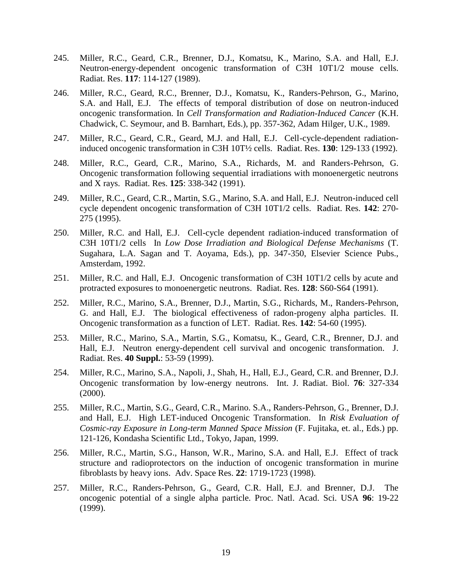- 245. Miller, R.C., Geard, C.R., Brenner, D.J., Komatsu, K., Marino, S.A. and Hall, E.J. Neutron-energy-dependent oncogenic transformation of C3H 10T1/2 mouse cells. Radiat. Res. **117**: 114-127 (1989).
- 246. Miller, R.C., Geard, R.C., Brenner, D.J., Komatsu, K., Randers-Pehrson, G., Marino, S.A. and Hall, E.J. The effects of temporal distribution of dose on neutron-induced oncogenic transformation. In *Cell Transformation and Radiation-Induced Cancer* (K.H. Chadwick, C. Seymour, and B. Barnhart, Eds.), pp. 357-362, Adam Hilger, U.K., 1989.
- 247. Miller, R.C., Geard, C.R., Geard, M.J. and Hall, E.J. Cell-cycle-dependent radiationinduced oncogenic transformation in C3H 10T½ cells. Radiat. Res. **130**: 129-133 (1992).
- 248. Miller, R.C., Geard, C.R., Marino, S.A., Richards, M. and Randers-Pehrson, G. Oncogenic transformation following sequential irradiations with monoenergetic neutrons and X rays. Radiat. Res. **125**: 338-342 (1991).
- 249. Miller, R.C., Geard, C.R., Martin, S.G., Marino, S.A. and Hall, E.J. Neutron-induced cell cycle dependent oncogenic transformation of C3H 10T1/2 cells. Radiat. Res. **142**: 270- 275 (1995).
- 250. Miller, R.C. and Hall, E.J. Cell-cycle dependent radiation-induced transformation of C3H 10T1/2 cells In *Low Dose Irradiation and Biological Defense Mechanisms* (T. Sugahara, L.A. Sagan and T. Aoyama, Eds.), pp. 347-350, Elsevier Science Pubs., Amsterdam, 1992.
- 251. Miller, R.C. and Hall, E.J. Oncogenic transformation of C3H 10T1/2 cells by acute and protracted exposures to monoenergetic neutrons. Radiat. Res. **128**: S60-S64 (1991).
- 252. Miller, R.C., Marino, S.A., Brenner, D.J., Martin, S.G., Richards, M., Randers-Pehrson, G. and Hall, E.J. The biological effectiveness of radon-progeny alpha particles. II. Oncogenic transformation as a function of LET. Radiat. Res. **142**: 54-60 (1995).
- 253. Miller, R.C., Marino, S.A., Martin, S.G., Komatsu, K., Geard, C.R., Brenner, D.J. and Hall, E.J. Neutron energy-dependent cell survival and oncogenic transformation. J. Radiat. Res. **40 Suppl.**: 53-59 (1999).
- 254. Miller, R.C., Marino, S.A., Napoli, J., Shah, H., Hall, E.J., Geard, C.R. and Brenner, D.J. Oncogenic transformation by low-energy neutrons. Int. J. Radiat. Biol. **76**: 327-334 (2000).
- 255. Miller, R.C., Martin, S.G., Geard, C.R., Marino. S.A., Randers-Pehrson, G., Brenner, D.J. and Hall, E.J. High LET-induced Oncogenic Transformation. In *Risk Evaluation of Cosmic-ray Exposure in Long-term Manned Space Mission* (F. Fujitaka, et. al., Eds.) pp. 121-126, Kondasha Scientific Ltd., Tokyo, Japan, 1999.
- 256. Miller, R.C., Martin, S.G., Hanson, W.R., Marino, S.A. and Hall, E.J. Effect of track structure and radioprotectors on the induction of oncogenic transformation in murine fibroblasts by heavy ions. Adv. Space Res. **22**: 1719-1723 (1998).
- 257. Miller, R.C., Randers-Pehrson, G., Geard, C.R. Hall, E.J. and Brenner, D.J. The oncogenic potential of a single alpha particle. Proc. Natl. Acad. Sci. USA **96**: 19-22 (1999).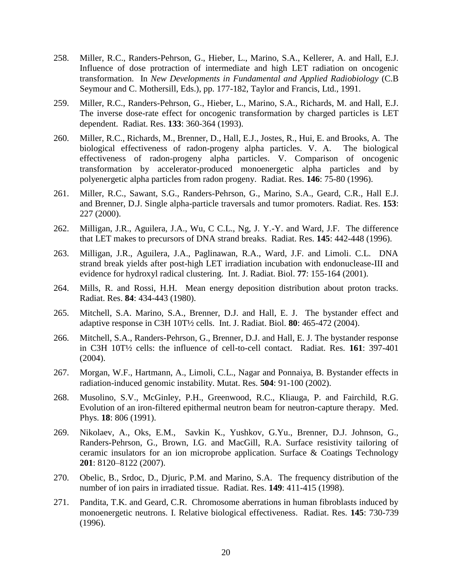- 258. Miller, R.C., Randers-Pehrson, G., Hieber, L., Marino, S.A., Kellerer, A. and Hall, E.J. Influence of dose protraction of intermediate and high LET radiation on oncogenic transformation. In *New Developments in Fundamental and Applied Radiobiology* (C.B Seymour and C. Mothersill, Eds.), pp. 177-182, Taylor and Francis, Ltd., 1991.
- 259. Miller, R.C., Randers-Pehrson, G., Hieber, L., Marino, S.A., Richards, M. and Hall, E.J. The inverse dose-rate effect for oncogenic transformation by charged particles is LET dependent. Radiat. Res. **133**: 360-364 (1993).
- 260. Miller, R.C., Richards, M., Brenner, D., Hall, E.J., Jostes, R., Hui, E. and Brooks, A. The biological effectiveness of radon-progeny alpha particles. V. A. The biological effectiveness of radon-progeny alpha particles. V. Comparison of oncogenic transformation by accelerator-produced monoenergetic alpha particles and by polyenergetic alpha particles from radon progeny. Radiat. Res. **146**: 75-80 (1996).
- 261. Miller, R.C., Sawant, S.G., Randers-Pehrson, G., Marino, S.A., Geard, C.R., Hall E.J. and Brenner, D.J. Single alpha-particle traversals and tumor promoters. Radiat. Res. **153**: 227 (2000).
- 262. Milligan, J.R., Aguilera, J.A., Wu, C C.L., Ng, J. Y.-Y. and Ward, J.F. The difference that LET makes to precursors of DNA strand breaks. Radiat. Res. **145**: 442-448 (1996).
- 263. Milligan, J.R., Aguilera, J.A., Paglinawan, R.A., Ward, J.F. and Limoli. C.L. DNA strand break yields after post-high LET irradiation incubation with endonuclease-III and evidence for hydroxyl radical clustering. Int. J. Radiat. Biol. **77**: 155-164 (2001).
- 264. Mills, R. and Rossi, H.H. Mean energy deposition distribution about proton tracks. Radiat. Res. **84**: 434-443 (1980).
- 265. Mitchell, S.A. Marino, S.A., Brenner, D.J. and Hall, E. J. The bystander effect and adaptive response in C3H 10T½ cells. Int. J. Radiat. Biol. **80**: 465-472 (2004).
- 266. Mitchell, S.A., Randers-Pehrson, G., Brenner, D.J. and Hall, E. J. The bystander response in C3H 10T½ cells: the influence of cell-to-cell contact. Radiat. Res. **161**: 397-401 (2004).
- 267. Morgan, W.F., Hartmann, A., Limoli, C.L., Nagar and Ponnaiya, B. Bystander effects in radiation-induced genomic instability. Mutat. Res. **504**: 91-100 (2002).
- 268. Musolino, S.V., McGinley, P.H., Greenwood, R.C., Kliauga, P. and Fairchild, R.G. Evolution of an iron-filtered epithermal neutron beam for neutron-capture therapy. Med. Phys. **18**: 806 (1991).
- 269. Nikolaev, A., Oks, E.M., Savkin K., Yushkov, G.Yu., Brenner, D.J. Johnson, G., Randers-Pehrson, G., Brown, I.G. and MacGill, R.A. Surface resistivity tailoring of ceramic insulators for an ion microprobe application. Surface & Coatings Technology **201**: 8120–8122 (2007).
- 270. Obelic, B., Srdoc, D., Djuric, P.M. and Marino, S.A. The frequency distribution of the number of ion pairs in irradiated tissue. Radiat. Res. **149**: 411-415 (1998).
- 271. Pandita, T.K. and Geard, C.R. Chromosome aberrations in human fibroblasts induced by monoenergetic neutrons. I. Relative biological effectiveness. Radiat. Res. **145**: 730-739 (1996).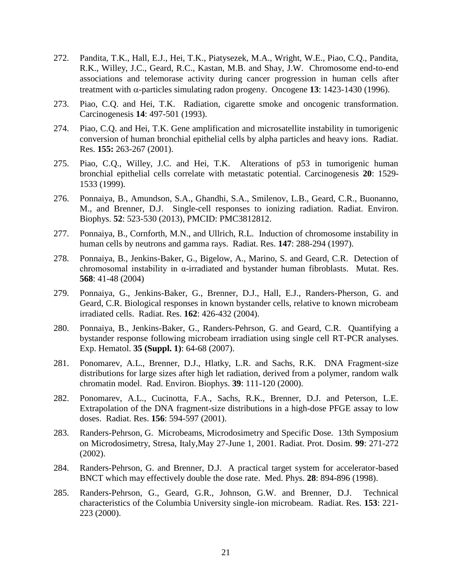- 272. Pandita, T.K., Hall, E.J., Hei, T.K., Piatysezek, M.A., Wright, W.E., Piao, C.Q., Pandita, R.K., Willey, J.C., Geard, R.C., Kastan, M.B. and Shay, J.W. Chromosome end-to-end associations and telemorase activity during cancer progression in human cells after treatment with  $\alpha$ -particles simulating radon progeny. Oncogene 13: 1423-1430 (1996).
- 273. Piao, C.Q. and Hei, T.K. Radiation, cigarette smoke and oncogenic transformation. Carcinogenesis **14**: 497-501 (1993).
- 274. Piao, C.Q. and Hei, T.K. Gene amplification and microsatellite instability in tumorigenic conversion of human bronchial epithelial cells by alpha particles and heavy ions. Radiat. Res. **155:** 263-267 (2001).
- 275. Piao, C.Q., Willey, J.C. and Hei, T.K. Alterations of p53 in tumorigenic human bronchial epithelial cells correlate with metastatic potential. Carcinogenesis **20**: 1529- 1533 (1999).
- 276. Ponnaiya, B., Amundson, S.A., Ghandhi, S.A., Smilenov, L.B., Geard, C.R., Buonanno, M., and Brenner, D.J. Single-cell responses to ionizing radiation. Radiat. Environ. Biophys. **52**: 523-530 (2013), PMCID: PMC3812812.
- 277. Ponnaiya, B., Cornforth, M.N., and Ullrich, R.L. Induction of chromosome instability in human cells by neutrons and gamma rays. Radiat. Res. **147**: 288-294 (1997).
- 278. Ponnaiya, B., Jenkins-Baker, G., Bigelow, A., Marino, S. and Geard, C.R. Detection of chromosomal instability in α-irradiated and bystander human fibroblasts. Mutat. Res. **568**: 41-48 (2004)
- 279. Ponnaiya, G., Jenkins-Baker, G., Brenner, D.J., Hall, E.J., Randers-Pherson, G. and Geard, C.R. Biological responses in known bystander cells, relative to known microbeam irradiated cells. Radiat. Res. **162**: 426-432 (2004).
- 280. Ponnaiya, B., Jenkins-Baker, G., Randers-Pehrson, G. and Geard, C.R. Quantifying a bystander response following microbeam irradiation using single cell RT-PCR analyses. Exp. Hematol. **35 (Suppl. 1)**: 64-68 (2007).
- 281. Ponomarev, A.L., Brenner, D.J., Hlatky, L.R. and Sachs, R.K. DNA Fragment-size distributions for large sizes after high let radiation, derived from a polymer, random walk chromatin model. Rad. Environ. Biophys. **39**: 111-120 (2000).
- 282. Ponomarev, A.L., Cucinotta, F.A., Sachs, R.K., Brenner, D.J. and Peterson, L.E. Extrapolation of the DNA fragment-size distributions in a high-dose PFGE assay to low doses. Radiat. Res. **156**: 594-597 (2001).
- 283. Randers-Pehrson, G. Microbeams, Microdosimetry and Specific Dose. 13th Symposium on Microdosimetry, Stresa, Italy,May 27-June 1, 2001. Radiat. Prot. Dosim. **99**: 271-272 (2002).
- 284. Randers-Pehrson, G. and Brenner, D.J. A practical target system for accelerator-based BNCT which may effectively double the dose rate. Med. Phys. **28**: 894-896 (1998).
- 285. Randers-Pehrson, G., Geard, G.R., Johnson, G.W. and Brenner, D.J. Technical characteristics of the Columbia University single-ion microbeam. Radiat. Res. **153**: 221- 223 (2000).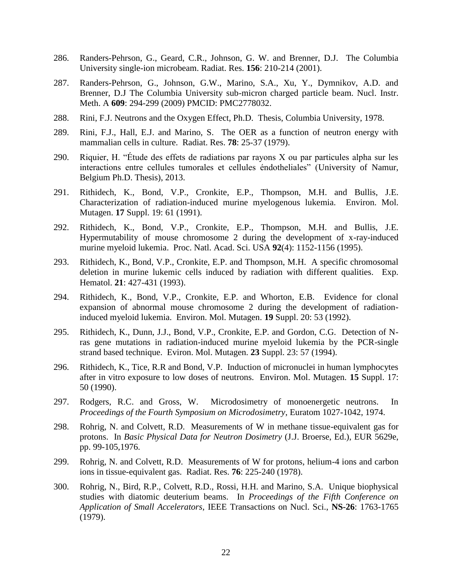- 286. Randers-Pehrson, G., Geard, C.R., Johnson, G. W. and Brenner, D.J. The Columbia University single-ion microbeam. Radiat. Res. **156**: 210-214 (2001).
- 287. Randers-Pehrson, G., Johnson, G.W., Marino, S.A., Xu, Y., Dymnikov, A.D. and Brenner, D.J The Columbia University sub-micron charged particle beam. Nucl. Instr. Meth. A **609**: 294-299 (2009) PMCID: PMC2778032.
- 288. Rini, F.J. Neutrons and the Oxygen Effect, Ph.D. Thesis, Columbia University, 1978.
- 289. Rini, F.J., Hall, E.J. and Marino, S. The OER as a function of neutron energy with mammalian cells in culture. Radiat. Res. **78**: 25-37 (1979).
- 290. Riquier, H. "Étude des effets de radiations par rayons X ou par particules alpha sur les interactions entre cellules tumorales et cellules éndotheliales" (University of Namur, Belgium Ph.D. Thesis), 2013.
- 291. Rithidech, K., Bond, V.P., Cronkite, E.P., Thompson, M.H. and Bullis, J.E. Characterization of radiation-induced murine myelogenous lukemia. Environ. Mol. Mutagen. **17** Suppl. 19: 61 (1991).
- 292. Rithidech, K., Bond, V.P., Cronkite, E.P., Thompson, M.H. and Bullis, J.E. Hypermutability of mouse chromosome 2 during the development of x-ray-induced murine myeloid lukemia. Proc. Natl. Acad. Sci. USA **92**(4): 1152-1156 (1995).
- 293. Rithidech, K., Bond, V.P., Cronkite, E.P. and Thompson, M.H. A specific chromosomal deletion in murine lukemic cells induced by radiation with different qualities. Exp. Hematol. **21**: 427-431 (1993).
- 294. Rithidech, K., Bond, V.P., Cronkite, E.P. and Whorton, E.B. Evidence for clonal expansion of abnormal mouse chromosome 2 during the development of radiationinduced myeloid lukemia. Environ. Mol. Mutagen. **19** Suppl. 20: 53 (1992).
- 295. Rithidech, K., Dunn, J.J., Bond, V.P., Cronkite, E.P. and Gordon, C.G. Detection of Nras gene mutations in radiation-induced murine myeloid lukemia by the PCR-single strand based technique. Eviron. Mol. Mutagen. **23** Suppl. 23: 57 (1994).
- 296. Rithidech, K., Tice, R.R and Bond, V.P. Induction of micronuclei in human lymphocytes after in vitro exposure to low doses of neutrons. Environ. Mol. Mutagen. **15** Suppl. 17: 50 (1990).
- 297. Rodgers, R.C. and Gross, W. Microdosimetry of monoenergetic neutrons. In *Proceedings of the Fourth Symposium on Microdosimetry*, Euratom 1027-1042, 1974.
- 298. Rohrig, N. and Colvett, R.D. Measurements of W in methane tissue-equivalent gas for protons. In *Basic Physical Data for Neutron Dosimetry* (J.J. Broerse, Ed.), EUR 5629e, pp. 99-105,1976.
- 299. Rohrig, N. and Colvett, R.D. Measurements of W for protons, helium-4 ions and carbon ions in tissue-equivalent gas. Radiat. Res. **76**: 225-240 (1978).
- 300. Rohrig, N., Bird, R.P., Colvett, R.D., Rossi, H.H. and Marino, S.A. Unique biophysical studies with diatomic deuterium beams. In *Proceedings of the Fifth Conference on Application of Small Accelerators*, IEEE Transactions on Nucl. Sci., **NS-26**: 1763-1765 (1979).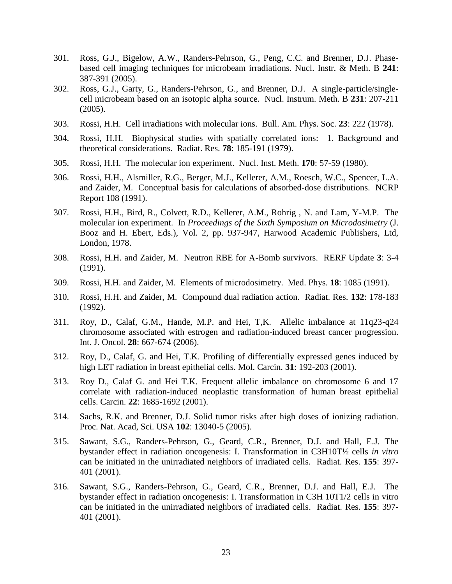- 301. Ross, G.J., Bigelow, A.W., Randers-Pehrson, G., Peng, C.C. and Brenner, D.J. Phasebased cell imaging techniques for microbeam irradiations. Nucl. Instr. & Meth. B **241**: 387-391 (2005).
- 302. Ross, G.J., Garty, G., Randers-Pehrson, G., and Brenner, D.J. A single-particle/singlecell microbeam based on an isotopic alpha source. Nucl. Instrum. Meth. B **231**: 207-211 (2005).
- 303. Rossi, H.H. Cell irradiations with molecular ions. Bull. Am. Phys. Soc. **23**: 222 (1978).
- 304. Rossi, H.H. Biophysical studies with spatially correlated ions: 1. Background and theoretical considerations. Radiat. Res. **78**: 185-191 (1979).
- 305. Rossi, H.H. The molecular ion experiment. Nucl. Inst. Meth. **170**: 57-59 (1980).
- 306. Rossi, H.H., Alsmiller, R.G., Berger, M.J., Kellerer, A.M., Roesch, W.C., Spencer, L.A. and Zaider, M. Conceptual basis for calculations of absorbed-dose distributions. NCRP Report 108 (1991).
- 307. Rossi, H.H., Bird, R., Colvett, R.D., Kellerer, A.M., Rohrig , N. and Lam, Y-M.P. The molecular ion experiment. In *Proceedings of the Sixth Symposium on Microdosimetry* (J. Booz and H. Ebert, Eds.), Vol. 2, pp. 937-947, Harwood Academic Publishers, Ltd, London, 1978.
- 308. Rossi, H.H. and Zaider, M. Neutron RBE for A-Bomb survivors. RERF Update **3**: 3-4 (1991).
- 309. Rossi, H.H. and Zaider, M. Elements of microdosimetry. Med. Phys. **18**: 1085 (1991).
- 310. Rossi, H.H. and Zaider, M. Compound dual radiation action. Radiat. Res. **132**: 178-183 (1992).
- 311. Roy, D., Calaf, G.M., Hande, M.P. and Hei, T,K. Allelic imbalance at 11q23-q24 chromosome associated with estrogen and radiation-induced breast cancer progression. Int. J. Oncol. **28**: 667-674 (2006).
- 312. Roy, D., Calaf, G. and Hei, T.K. Profiling of differentially expressed genes induced by high LET radiation in breast epithelial cells. Mol. Carcin. **31**: 192-203 (2001).
- 313. Roy D., Calaf G. and Hei T.K. Frequent allelic imbalance on chromosome 6 and 17 correlate with radiation-induced neoplastic transformation of human breast epithelial cells. Carcin. **22**: 1685-1692 (2001).
- 314. Sachs, R.K. and Brenner, D.J. Solid tumor risks after high doses of ionizing radiation. Proc. Nat. Acad, Sci. USA **102**: 13040-5 (2005).
- 315. Sawant, S.G., Randers-Pehrson, G., Geard, C.R., Brenner, D.J. and Hall, E.J. The bystander effect in radiation oncogenesis: I. Transformation in C3H10T½ cells *in vitro* can be initiated in the unirradiated neighbors of irradiated cells. Radiat. Res. **155**: 397- 401 (2001).
- 316. Sawant, S.G., Randers-Pehrson, G., Geard, C.R., Brenner, D.J. and Hall, E.J. The bystander effect in radiation oncogenesis: I. Transformation in C3H 10T1/2 cells in vitro can be initiated in the unirradiated neighbors of irradiated cells. Radiat. Res. **155**: 397- 401 (2001).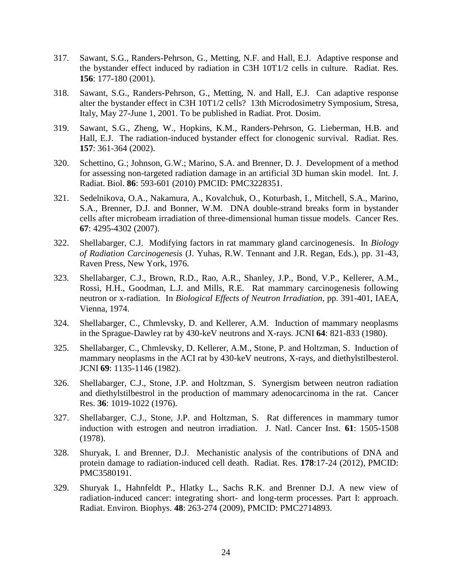- 317. Sawant, S.G., Randers-Pehrson, G., Metting, N.F. and Hall, E.J. Adaptive response and the bystander effect induced by radiation in C3H 10T1/2 cells in culture. Radiat. Res. **156**: 177-180 (2001).
- 318. Sawant, S.G., Randers-Pehrson, G., Metting, N. and Hall, E.J. Can adaptive response alter the bystander effect in C3H 10T1/2 cells? 13th Microdosimetry Symposium, Stresa, Italy, May 27-June 1, 2001. To be published in Radiat. Prot. Dosim.
- 319. Sawant, S.G., Zheng, W., Hopkins, K.M., Randers-Pehrson, G. Lieberman, H.B. and Hall, E.J. The radiation-induced bystander effect for clonogenic survival. Radiat. Res. **157**: 361-364 (2002).
- 320. Schettino, G.; Johnson, G.W.; Marino, S.A. and Brenner, D. J. Development of a method for assessing non-targeted radiation damage in an artificial 3D human skin model. Int. J. Radiat. Biol. **86**: 593-601 (2010) PMCID: PMC3228351.
- 321. Sedelnikova, O.A., Nakamura, A., Kovalchuk, O., Koturbash, I., Mitchell, S.A., Marino, S.A., Brenner, D.J. and Bonner, W.M. DNA double-strand breaks form in bystander cells after microbeam irradiation of three-dimensional human tissue models. Cancer Res. **67**: 4295-4302 (2007).
- 322. Shellabarger, C.J. Modifying factors in rat mammary gland carcinogenesis. In *Biology of Radiation Carcinogenesis* (J. Yuhas, R.W. Tennant and J.R. Regan, Eds.), pp. 31-43, Raven Press, New York, 1976.
- 323. Shellabarger, C.J., Brown, R.D., Rao, A.R., Shanley, J.P., Bond, V.P., Kellerer, A.M., Rossi, H.H., Goodman, L.J. and Mills, R.E. Rat mammary carcinogenesis following neutron or x-radiation. In *Biological Effects of Neutron Irradiation*, pp. 391-401, IAEA, Vienna, 1974.
- 324. Shellabarger, C., Chmlevsky, D. and Kellerer, A.M. Induction of mammary neoplasms in the Sprague-Dawley rat by 430-keV neutrons and X-rays. JCNI **64**: 821-833 (1980).
- 325. Shellabarger, C., Chmlevsky, D. Kellerer, A.M., Stone, P. and Holtzman, S. Induction of mammary neoplasms in the ACI rat by 430-keV neutrons, X-rays, and diethylstilbesterol. JCNI **69**: 1135-1146 (1982).
- 326. Shellabarger, C.J., Stone, J.P. and Holtzman, S. Synergism between neutron radiation and diethylstilbestrol in the production of mammary adenocarcinoma in the rat. Cancer Res. **36**: 1019-1022 (1976).
- 327. Shellabarger, C.J., Stone, J.P. and Holtzman, S. Rat differences in mammary tumor induction with estrogen and neutron irradiation. J. Natl. Cancer Inst. **61**: 1505-1508 (1978).
- 328. Shuryak, I. and Brenner, D.J. Mechanistic analysis of the contributions of DNA and protein damage to radiation-induced cell death. Radiat. Res. **178**:17-24 (2012), PMCID: PMC3580191.
- 329. Shuryak I., Hahnfeldt P., Hlatky L., Sachs R.K. and Brenner D.J. A new view of radiation-induced cancer: integrating short- and long-term processes. Part I: approach. Radiat. Environ. Biophys. **48**: 263-274 (2009), PMCID: PMC2714893.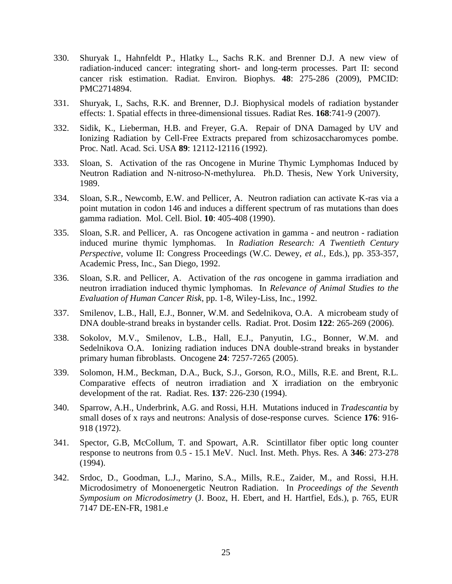- 330. Shuryak I., Hahnfeldt P., Hlatky L., Sachs R.K. and Brenner D.J. A new view of radiation-induced cancer: integrating short- and long-term processes. Part II: second cancer risk estimation. Radiat. Environ. Biophys. **48**: 275-286 (2009), PMCID: PMC2714894.
- 331. Shuryak, I., Sachs, R.K. and Brenner, D.J. Biophysical models of radiation bystander effects: 1. Spatial effects in three-dimensional tissues. Radiat Res. **168**:741-9 (2007).
- 332. Sidik, K., Lieberman, H.B. and Freyer, G.A. Repair of DNA Damaged by UV and Ionizing Radiation by Cell-Free Extracts prepared from schizosaccharomyces pombe. Proc. Natl. Acad. Sci. USA **89**: 12112-12116 (1992).
- 333. Sloan, S. Activation of the ras Oncogene in Murine Thymic Lymphomas Induced by Neutron Radiation and N-nitroso-N-methylurea. Ph.D. Thesis, New York University, 1989.
- 334. Sloan, S.R., Newcomb, E.W. and Pellicer, A. Neutron radiation can activate K-ras via a point mutation in codon 146 and induces a different spectrum of ras mutations than does gamma radiation. Mol. Cell. Biol. **10**: 405-408 (1990).
- 335. Sloan, S.R. and Pellicer, A. ras Oncogene activation in gamma and neutron radiation induced murine thymic lymphomas. In *Radiation Research: A Twentieth Century Perspective*, volume II: Congress Proceedings (W.C. Dewey, *et al.*, Eds.), pp. 353-357, Academic Press, Inc., San Diego, 1992.
- 336. Sloan, S.R. and Pellicer, A. Activation of the *ras* oncogene in gamma irradiation and neutron irradiation induced thymic lymphomas. In *Relevance of Animal Studies to the Evaluation of Human Cancer Risk*, pp. 1-8, Wiley-Liss, Inc., 1992*.*
- 337. Smilenov, L.B., Hall, E.J., Bonner, W.M. and Sedelnikova, O.A. A microbeam study of DNA double-strand breaks in bystander cells. Radiat. Prot. Dosim **122**: 265-269 (2006).
- 338. Sokolov, M.V., Smilenov, L.B., Hall, E.J., Panyutin, I.G., Bonner, W.M. and Sedelnikova O.A. Ionizing radiation induces DNA double-strand breaks in bystander primary human fibroblasts. Oncogene **24**: 7257-7265 (2005).
- 339. Solomon, H.M., Beckman, D.A., Buck, S.J., Gorson, R.O., Mills, R.E. and Brent, R.L. Comparative effects of neutron irradiation and X irradiation on the embryonic development of the rat. Radiat. Res. **137**: 226-230 (1994).
- 340. Sparrow, A.H., Underbrink, A.G. and Rossi, H.H. Mutations induced in *Tradescantia* by small doses of x rays and neutrons: Analysis of dose-response curves. Science **176**: 916- 918 (1972).
- 341. Spector, G.B, McCollum, T. and Spowart, A.R. Scintillator fiber optic long counter response to neutrons from 0.5 - 15.1 MeV. Nucl. Inst. Meth. Phys. Res. A **346**: 273-278 (1994).
- 342. Srdoc, D., Goodman, L.J., Marino, S.A., Mills, R.E., Zaider, M., and Rossi, H.H. Microdosimetry of Monoenergetic Neutron Radiation. In *Proceedings of the Seventh Symposium on Microdosimetry* (J. Booz, H. Ebert, and H. Hartfiel, Eds.), p. 765, EUR 7147 DE-EN-FR, 1981.e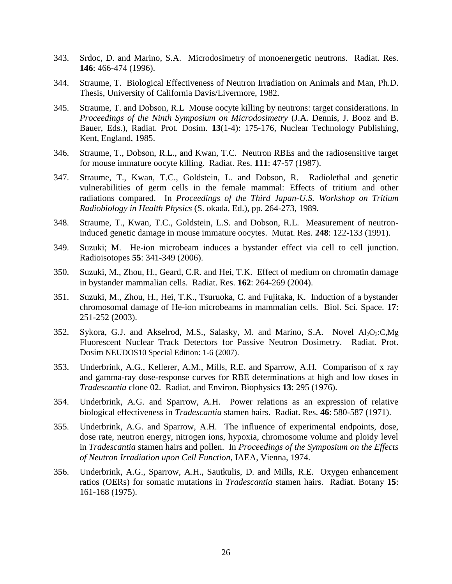- 343. Srdoc, D. and Marino, S.A. Microdosimetry of monoenergetic neutrons. Radiat. Res. **146**: 466-474 (1996).
- 344. Straume, T. Biological Effectiveness of Neutron Irradiation on Animals and Man, Ph.D. Thesis, University of California Davis/Livermore, 1982.
- 345. Straume, T. and Dobson, R.L Mouse oocyte killing by neutrons: target considerations. In *Proceedings of the Ninth Symposium on Microdosimetry* (J.A. Dennis, J. Booz and B. Bauer, Eds.), Radiat. Prot. Dosim. **13**(1-4): 175-176, Nuclear Technology Publishing, Kent, England, 1985.
- 346. Straume, T., Dobson, R.L., and Kwan, T.C. Neutron RBEs and the radiosensitive target for mouse immature oocyte killing. Radiat. Res. **111**: 47-57 (1987).
- 347. Straume, T., Kwan, T.C., Goldstein, L. and Dobson, R. Radiolethal and genetic vulnerabilities of germ cells in the female mammal: Effects of tritium and other radiations compared. In *Proceedings of the Third Japan-U.S. Workshop on Tritium Radiobiology in Health Physics* (S. okada, Ed.), pp. 264-273, 1989.
- 348. Straume, T., Kwan, T.C., Goldstein, L.S. and Dobson, R.L. Measurement of neutroninduced genetic damage in mouse immature oocytes. Mutat. Res. **248**: 122-133 (1991).
- 349. Suzuki; M. He-ion microbeam induces a bystander effect via cell to cell junction. Radioisotopes **55**: 341-349 (2006).
- 350. Suzuki, M., Zhou, H., Geard, C.R. and Hei, T.K. Effect of medium on chromatin damage in bystander mammalian cells. Radiat. Res. **162**: 264-269 (2004).
- 351. Suzuki, M., Zhou, H., Hei, T.K., Tsuruoka, C. and Fujitaka, K. Induction of a bystander chromosomal damage of He-ion microbeams in mammalian cells. Biol. Sci. Space. **17**: 251-252 (2003).
- 352. Sykora, G.J. and Akselrod, M.S., Salasky, M. and Marino, S.A. Novel  $Al_2O_3:C_3Mg$ Fluorescent Nuclear Track Detectors for Passive Neutron Dosimetry. Radiat. Prot. Dosim NEUDOS10 Special Edition: 1-6 (2007).
- 353. Underbrink, A.G., Kellerer, A.M., Mills, R.E. and Sparrow, A.H. Comparison of x ray and gamma-ray dose-response curves for RBE determinations at high and low doses in *Tradescantia* clone 02. Radiat. and Environ. Biophysics **13**: 295 (1976).
- 354. Underbrink, A.G. and Sparrow, A.H. Power relations as an expression of relative biological effectiveness in *Tradescantia* stamen hairs. Radiat. Res. **46**: 580-587 (1971).
- 355. Underbrink, A.G. and Sparrow, A.H. The influence of experimental endpoints, dose, dose rate, neutron energy, nitrogen ions, hypoxia, chromosome volume and ploidy level in *Tradescantia* stamen hairs and pollen. In *Proceedings of the Symposium on the Effects of Neutron Irradiation upon Cell Function*, IAEA, Vienna, 1974.
- 356. Underbrink, A.G., Sparrow, A.H., Sautkulis, D. and Mills, R.E. Oxygen enhancement ratios (OERs) for somatic mutations in *Tradescantia* stamen hairs. Radiat. Botany **15**: 161-168 (1975).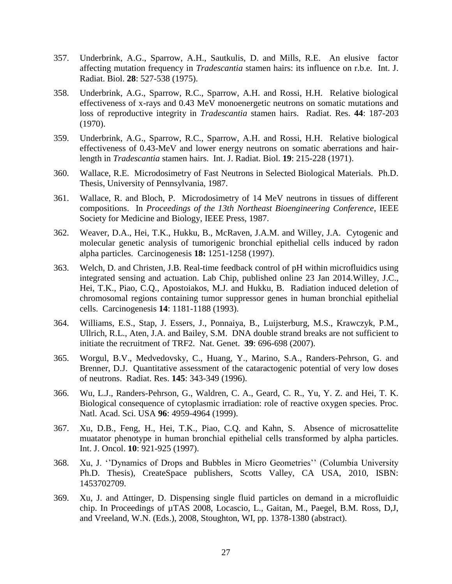- 357. Underbrink, A.G., Sparrow, A.H., Sautkulis, D. and Mills, R.E. An elusive factor affecting mutation frequency in *Tradescantia* stamen hairs: its influence on r.b.e. Int. J. Radiat. Biol. **28**: 527-538 (1975).
- 358. Underbrink, A.G., Sparrow, R.C., Sparrow, A.H. and Rossi, H.H. Relative biological effectiveness of x-rays and 0.43 MeV monoenergetic neutrons on somatic mutations and loss of reproductive integrity in *Tradescantia* stamen hairs. Radiat. Res. **44**: 187-203 (1970).
- 359. Underbrink, A.G., Sparrow, R.C., Sparrow, A.H. and Rossi, H.H. Relative biological effectiveness of 0.43-MeV and lower energy neutrons on somatic aberrations and hairlength in *Tradescantia* stamen hairs. Int. J. Radiat. Biol. **19**: 215-228 (1971).
- 360. Wallace, R.E. Microdosimetry of Fast Neutrons in Selected Biological Materials. Ph.D. Thesis, University of Pennsylvania, 1987.
- 361. Wallace, R. and Bloch, P. Microdosimetry of 14 MeV neutrons in tissues of different compositions. In *Proceedings of the 13th Northeast Bioengineering Conference*, IEEE Society for Medicine and Biology, IEEE Press, 1987.
- 362. Weaver, D.A., Hei, T.K., Hukku, B., McRaven, J.A.M. and Willey, J.A. Cytogenic and molecular genetic analysis of tumorigenic bronchial epithelial cells induced by radon alpha particles. Carcinogenesis **18:** 1251-1258 (1997).
- 363. Welch, D. and Christen, J.B. Real-time feedback control of pH within microfluidics using integrated sensing and actuation. Lab Chip, published online 23 Jan 2014.Willey, J.C., Hei, T.K., Piao, C.Q., Apostoiakos, M.J. and Hukku, B. Radiation induced deletion of chromosomal regions containing tumor suppressor genes in human bronchial epithelial cells. Carcinogenesis **14**: 1181-1188 (1993).
- 364. Williams, E.S., Stap, J. Essers, J., Ponnaiya, B., Luijsterburg, M.S., Krawczyk, P.M., Ullrich, R.L., Aten, J.A. and Bailey, S.M. DNA double strand breaks are not sufficient to initiate the recruitment of TRF2. Nat. Genet. **39**: 696-698 (2007).
- 365. Worgul, B.V., Medvedovsky, C., Huang, Y., Marino, S.A., Randers-Pehrson, G. and Brenner, D.J. Quantitative assessment of the cataractogenic potential of very low doses of neutrons. Radiat. Res. **145**: 343-349 (1996).
- 366. Wu, L.J., Randers-Pehrson, G., Waldren, C. A., Geard, C. R., Yu, Y. Z. and Hei, T. K. Biological consequence of cytoplasmic irradiation: role of reactive oxygen species. Proc. Natl. Acad. Sci. USA **96**: 4959-4964 (1999).
- 367. Xu, D.B., Feng, H., Hei, T.K., Piao, C.Q. and Kahn, S. Absence of microsattelite muatator phenotype in human bronchial epithelial cells transformed by alpha particles. Int. J. Oncol. **10**: 921-925 (1997).
- 368. Xu, J. ''Dynamics of Drops and Bubbles in Micro Geometries'' (Columbia University Ph.D. Thesis), CreateSpace publishers, Scotts Valley, CA USA, 2010, ISBN: 1453702709.
- 369. Xu, J. and Attinger, D. Dispensing single fluid particles on demand in a microfluidic chip. In Proceedings of µTAS 2008, Locascio, L., Gaitan, M., Paegel, B.M. Ross, D,J, and Vreeland, W.N. (Eds.), 2008, Stoughton, WI, pp. 1378-1380 (abstract).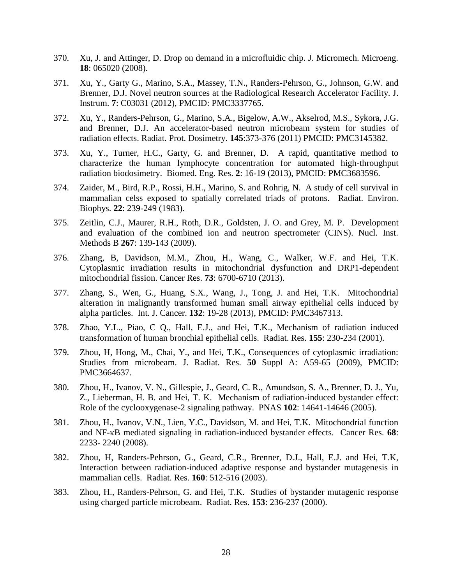- 370. Xu, J. and Attinger, D. Drop on demand in a microfluidic chip. J. Micromech. Microeng. **18**: 065020 (2008).
- 371. Xu, Y., Garty G., Marino, S.A., Massey, T.N., Randers-Pehrson, G., Johnson, G.W. and Brenner, D.J. Novel neutron sources at the Radiological Research Accelerator Facility. J. Instrum. **7**: C03031 (2012), PMCID: PMC3337765.
- 372. Xu, Y., Randers-Pehrson, G., Marino, S.A., Bigelow, A.W., Akselrod, M.S., Sykora, J.G. and Brenner, D.J. An accelerator-based neutron microbeam system for studies of radiation effects. Radiat. Prot. Dosimetry. **145**:373-376 (2011) PMCID: PMC3145382.
- 373. Xu, Y., Turner, H.C., Garty, G. and Brenner, D. A rapid, quantitative method to characterize the human lymphocyte concentration for automated high-throughput radiation biodosimetry. Biomed. Eng. Res. **2**: 16-19 (2013), PMCID: PMC3683596.
- 374. Zaider, M., Bird, R.P., Rossi, H.H., Marino, S. and Rohrig, N. A study of cell survival in mammalian celss exposed to spatially correlated triads of protons. Radiat. Environ. Biophys. **22**: 239-249 (1983).
- 375. Zeitlin, C.J., Maurer, R.H., Roth, D.R., Goldsten, J. O. and Grey, M. P. Development and evaluation of the combined ion and neutron spectrometer (CINS). Nucl. Inst. Methods B **267**: 139-143 (2009).
- 376. Zhang, B, Davidson, M.M., Zhou, H., Wang, C., Walker, W.F. and Hei, T.K. Cytoplasmic irradiation results in mitochondrial dysfunction and DRP1-dependent mitochondrial fission. Cancer Res. **73**: 6700-6710 (2013).
- 377. Zhang, S., Wen, G., Huang, S.X., Wang, J., Tong, J. and Hei, T.K. Mitochondrial alteration in malignantly transformed human small airway epithelial cells induced by alpha particles. Int. J. Cancer. **132**: 19-28 (2013), PMCID: PMC3467313.
- 378. Zhao, Y.L., Piao, C Q., Hall, E.J., and Hei, T.K., Mechanism of radiation induced transformation of human bronchial epithelial cells. Radiat. Res. **155**: 230-234 (2001).
- 379. Zhou, H, Hong, M., Chai, Y., and Hei, T.K., Consequences of cytoplasmic irradiation: Studies from microbeam. J. Radiat. Res. **50** Suppl A: A59-65 (2009), PMCID: PMC3664637.
- 380. Zhou, H., Ivanov, V. N., Gillespie, J., Geard, C. R., Amundson, S. A., Brenner, D. J., Yu, Z., Lieberman, H. B. and Hei, T. K. Mechanism of radiation-induced bystander effect: Role of the cyclooxygenase-2 signaling pathway. PNAS **102**: 14641-14646 (2005).
- 381. Zhou, H., Ivanov, V.N., Lien, Y.C., Davidson, M. and Hei, T.K. Mitochondrial function and NF-κB mediated signaling in radiation-induced bystander effects. Cancer Res. **68**: 2233- 2240 (2008).
- 382. Zhou, H, Randers-Pehrson, G., Geard, C.R., Brenner, D.J., Hall, E.J. and Hei, T.K, Interaction between radiation-induced adaptive response and bystander mutagenesis in mammalian cells. Radiat. Res. **160**: 512-516 (2003).
- 383. Zhou, H., Randers-Pehrson, G. and Hei, T.K. Studies of bystander mutagenic response using charged particle microbeam. Radiat. Res. **153**: 236-237 (2000).